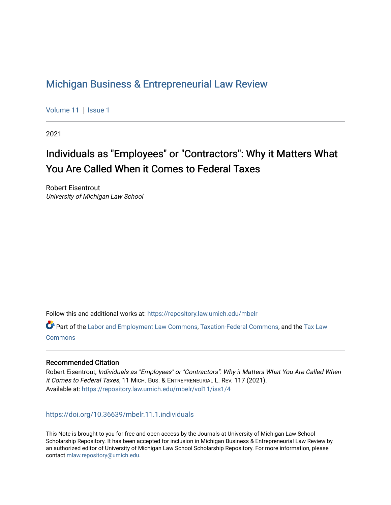# [Michigan Business & Entrepreneurial Law Review](https://repository.law.umich.edu/mbelr)

[Volume 11](https://repository.law.umich.edu/mbelr/vol11) | [Issue 1](https://repository.law.umich.edu/mbelr/vol11/iss1)

2021

# Individuals as "Employees" or "Contractors": Why it Matters What You Are Called When it Comes to Federal Taxes

Robert Eisentrout University of Michigan Law School

Follow this and additional works at: [https://repository.law.umich.edu/mbelr](https://repository.law.umich.edu/mbelr?utm_source=repository.law.umich.edu%2Fmbelr%2Fvol11%2Fiss1%2F4&utm_medium=PDF&utm_campaign=PDFCoverPages)

Part of the [Labor and Employment Law Commons](http://network.bepress.com/hgg/discipline/909?utm_source=repository.law.umich.edu%2Fmbelr%2Fvol11%2Fiss1%2F4&utm_medium=PDF&utm_campaign=PDFCoverPages), [Taxation-Federal Commons](http://network.bepress.com/hgg/discipline/881?utm_source=repository.law.umich.edu%2Fmbelr%2Fvol11%2Fiss1%2F4&utm_medium=PDF&utm_campaign=PDFCoverPages), and the [Tax Law](http://network.bepress.com/hgg/discipline/898?utm_source=repository.law.umich.edu%2Fmbelr%2Fvol11%2Fiss1%2F4&utm_medium=PDF&utm_campaign=PDFCoverPages)  **[Commons](http://network.bepress.com/hgg/discipline/898?utm_source=repository.law.umich.edu%2Fmbelr%2Fvol11%2Fiss1%2F4&utm_medium=PDF&utm_campaign=PDFCoverPages)** 

## Recommended Citation

Robert Eisentrout, Individuals as "Employees" or "Contractors": Why it Matters What You Are Called When it Comes to Federal Taxes, 11 MICH. BUS. & ENTREPRENEURIAL L. REV. 117 (2021). Available at: [https://repository.law.umich.edu/mbelr/vol11/iss1/4](https://repository.law.umich.edu/mbelr/vol11/iss1/4?utm_source=repository.law.umich.edu%2Fmbelr%2Fvol11%2Fiss1%2F4&utm_medium=PDF&utm_campaign=PDFCoverPages)

<https://doi.org/10.36639/mbelr.11.1.individuals>

This Note is brought to you for free and open access by the Journals at University of Michigan Law School Scholarship Repository. It has been accepted for inclusion in Michigan Business & Entrepreneurial Law Review by an authorized editor of University of Michigan Law School Scholarship Repository. For more information, please contact [mlaw.repository@umich.edu](mailto:mlaw.repository@umich.edu).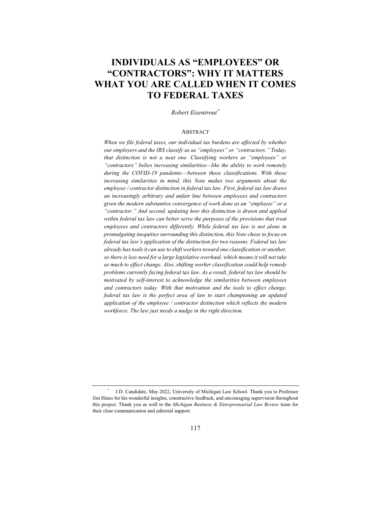## **INDIVIDUALS AS "EMPLOYEES" OR "CONTRACTORS": WHY IT MATTERS WHAT YOU ARE CALLED WHEN IT COMES TO FEDERAL TAXES**

*Robert Eisentrout \**

#### ABSTRACT

*When we file federal taxes, our individual tax burdens are affected by whether our employers and the IRS classify us as "employees" or "contractors." Today, that distinction is not a neat one. Classifying workers as "employees" or "contractors" belies increasing similarities—like the ability to work remotely during the COVID-19 pandemic—between those classifications. With those increasing similarities in mind, this Note makes two arguments about the employee / contractor distinction in federal tax law. First, federal tax law draws an increasingly arbitrary and unfair line between employees and contractors given the modern substantive convergence of work done as an "employee" or a "contractor." And second, updating how this distinction is drawn and applied within federal tax law can better serve the purposes of the provisions that treat employees and contractors differently. While federal tax law is not alone in promulgating inequities surrounding this distinction, this Note chose to focus on federal tax law's application of the distinction for two reasons. Federal tax law already has tools it can use to shift workers toward one classification or another, so there is less need for a large legislative overhaul, which means it will not take as much to effect change. Also, shifting worker classification could help remedy problems currently facing federal tax law. As a result, federal tax law should be motivated by self-interest to acknowledge the similarities between employees and contractors today. With that motivation and the tools to effect change, federal tax law is the perfect area of law to start championing an updated application of the employee / contractor distinction which reflects the modern workforce. The law just needs a nudge in the right direction.*

<sup>\*</sup> J.D. Candidate, May 2022, University of Michigan Law School. Thank you to Professor Jim Hines for his wonderful insights, constructive feedback, and encouraging supervision throughout this project. Thank you as well to the *Michigan Business & Entrepreneurial Law Review* team for their clear communication and editorial support.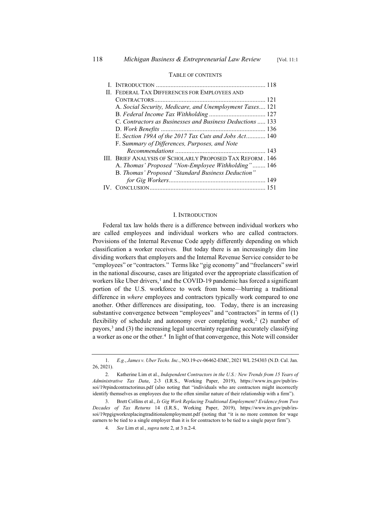| II. FEDERAL TAX DIFFERENCES FOR EMPLOYEES AND             |
|-----------------------------------------------------------|
|                                                           |
| A. Social Security, Medicare, and Unemployment Taxes 121  |
|                                                           |
| C. Contractors as Businesses and Business Deductions  133 |
|                                                           |
| E. Section 199A of the 2017 Tax Cuts and Jobs Act 140     |
| F. Summary of Differences, Purposes, and Note             |
|                                                           |
| III. BRIEF ANALYSIS OF SCHOLARLY PROPOSED TAX REFORM. 146 |
| A. Thomas' Proposed "Non-Employee Withholding" 146        |
| B. Thomas' Proposed "Standard Business Deduction"         |
|                                                           |
|                                                           |

#### TABLE OF CONTENTS

#### I. INTRODUCTION

Federal tax law holds there is a difference between individual workers who are called employees and individual workers who are called contractors. Provisions of the Internal Revenue Code apply differently depending on which classification a worker receives. But today there is an increasingly dim line dividing workers that employers and the Internal Revenue Service consider to be "employees" or "contractors." Terms like "gig economy" and "freelancers" swirl in the national discourse, cases are litigated over the appropriate classification of workers like Uber drivers,<sup>1</sup> and the COVID-19 pandemic has forced a significant portion of the U.S. workforce to work from home—blurring a traditional difference in *where* employees and contractors typically work compared to one another. Other differences are dissipating, too. Today, there is an increasing substantive convergence between "employees" and "contractors" in terms of (1) flexibility of schedule and autonomy over completing work,<sup>2</sup> (2) number of payors, $3$  and (3) the increasing legal uncertainty regarding accurately classifying a worker as one or the other.<sup>4</sup> In light of that convergence, this Note will consider

<sup>1.</sup> *E.g.*, *James v. Uber Techs. Inc.*, NO.19-cv-06462-EMC, 2021 WL 254303 (N.D. Cal. Jan. 26, 2021).

<sup>2.</sup> Katherine Lim et al., *Independent Contractors in the U.S.: New Trends from 15 Years of Administrative Tax Data*, 2-3 (I.R.S., Working Paper, 2019), https://www.irs.gov/pub/irssoi/19rpindcontractorinus.pdf (also noting that "individuals who are contractors might incorrectly identify themselves as employees due to the often similar nature of their relationship with a firm").

<sup>3.</sup> Brett Collins et al., *Is Gig Work Replacing Traditional Employment? Evidence from Two Decades of Tax Returns* 14 (I.R.S., Working Paper, 2019), https://www.irs.gov/pub/irssoi/19rpgigworkreplacingtraditionalemployment.pdf (noting that "it is no more common for wage earners to be tied to a single employer than it is for contractors to be tied to a single payer firm").

<sup>4.</sup> *See* Lim et al., *supra* note 2, at 3 n.2-4.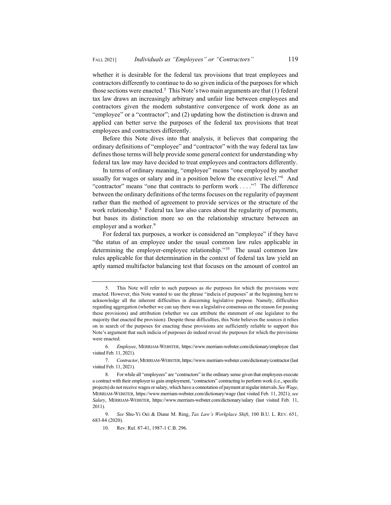whether it is desirable for the federal tax provisions that treat employees and contractors differently to continue to do so given indicia of the purposes for which those sections were enacted.<sup>5</sup> This Note's two main arguments are that  $(1)$  federal tax law draws an increasingly arbitrary and unfair line between employees and contractors given the modern substantive convergence of work done as an "employee" or a "contractor"; and (2) updating how the distinction is drawn and applied can better serve the purposes of the federal tax provisions that treat employees and contractors differently.

Before this Note dives into that analysis, it believes that comparing the ordinary definitions of "employee" and "contractor" with the way federal tax law defines those terms will help provide some general context for understanding why federal tax law may have decided to treat employees and contractors differently.

In terms of ordinary meaning, "employee" means "one employed by another usually for wages or salary and in a position below the executive level."6 And "contractor" means "one that contracts to perform work . . . ."7 The difference between the ordinary definitions of the terms focuses on the regularity of payment rather than the method of agreement to provide services or the structure of the work relationship. $8$  Federal tax law also cares about the regularity of payments, but bases its distinction more so on the relationship structure between an employer and a worker.<sup>9</sup>

For federal tax purposes, a worker is considered an "employee" if they have "the status of an employee under the usual common law rules applicable in determining the employer-employee relationship."<sup>10</sup> The usual common law rules applicable for that determination in the context of federal tax law yield an aptly named multifactor balancing test that focuses on the amount of control an

<sup>5.</sup> This Note will refer to such purposes as *the* purposes for which the provisions were enacted. However, this Note wanted to use the phrase "indicia of purposes" at the beginning here to acknowledge all the inherent difficulties in discerning legislative purpose. Namely, difficulties regarding aggregation (whether we can say there was a legislative consensus on the reason for passing these provisions) and attribution (whether we can attribute the statement of one legislator to the majority that enacted the provision). Despite those difficulties, this Note believes the sources it relies on in search of the purposes for enacting these provisions are sufficiently reliable to support this Note's argument that such indicia of purposes do indeed reveal *the* purposes for which the provisions were enacted.

<sup>6.</sup> *Employee*, MERRIAM-WEBSTER, https://www.merriam-webster.com/dictionary/employee (last visited Feb. 11, 2021).

<sup>7.</sup> *Contractor*,MERRIAM-WEBSTER, https://www.merriam-webster.com/dictionary/contractor (last visited Feb. 11, 2021).

<sup>8.</sup> For while all "employees" are "contractors" in the ordinary sense given that employees execute a contract with their employer to gain employment, "contractors" contracting to perform work (i.e., specific projects) do not receive wages or salary, which have a connotation of payment at regular intervals.*See Wage*, MERRIAM-WEBSTER, https://www.merriam-webster.com/dictionary/wage (last visited Feb. 11, 2021); *see Salary*, MERRIAM-WEBSTER, https://www.merriam-webster.com/dictionary/salary (last visited Feb. 11, 2011).

<sup>9.</sup> *See* Shu-Yi Oei & Diane M. Ring, *Tax Law's Workplace Shift*, 100 B.U. L. REV. 651, 683-84 (2020).

<sup>10.</sup> Rev. Rul. 87-41, 1987-1 C.B. 296.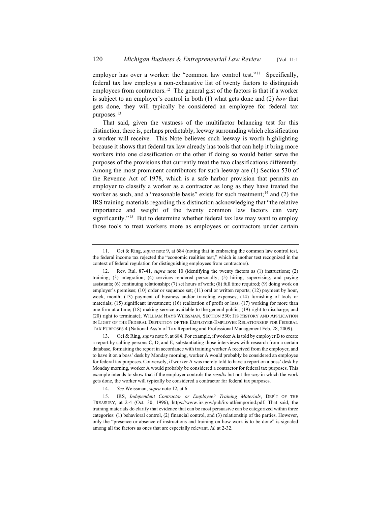employer has over a worker: the "common law control test."<sup>11</sup> Specifically, federal tax law employs a non-exhaustive list of twenty factors to distinguish employees from contractors.<sup>12</sup> The general gist of the factors is that if a worker is subject to an employer's control in both (1) what gets done and (2) *how* that gets done*,* they will typically be considered an employee for federal tax purposes.<sup>13</sup>

That said, given the vastness of the multifactor balancing test for this distinction, there is, perhaps predictably, leeway surrounding which classification a worker will receive. This Note believes such leeway is worth highlighting because it shows that federal tax law already has tools that can help it bring more workers into one classification or the other if doing so would better serve the purposes of the provisions that currently treat the two classifications differently. Among the most prominent contributors for such leeway are (1) Section 530 of the Revenue Act of 1978, which is a safe harbor provision that permits an employer to classify a worker as a contractor as long as they have treated the worker as such, and a "reasonable basis" exists for such treatment;<sup>14</sup> and  $(2)$  the IRS training materials regarding this distinction acknowledging that "the relative importance and weight of the twenty common law factors can vary significantly."<sup>15</sup> But to determine whether federal tax law may want to employ those tools to treat workers more as employees or contractors under certain

13. Oei & Ring, *supra* note 9, at 684. For example, if worker A is told by employer B to create a report by calling persons C, D, and E, substantiating those interviews with research from a certain database, formatting the report in accordance with training worker A received from the employer, and to have it on a boss' desk by Monday morning, worker A would probably be considered an employee for federal tax purposes. Conversely, if worker A was merely told to have a report on a boss' desk by Monday morning, worker A would probably be considered a contractor for federal tax purposes. This example intends to show that if the employer controls the *results* but not the *way* in which the work gets done, the worker will typically be considered a contractor for federal tax purposes.

<sup>11.</sup> Oei & Ring, *supra* note 9, at 684 (noting that in embracing the common law control test, the federal income tax rejected the "economic realities test," which is another test recognized in the context of federal regulation for distinguishing employees from contractors).

<sup>12.</sup> Rev. Rul. 87-41, *supra* note 10 (identifying the twenty factors as (1) instructions; (2) training; (3) integration; (4) services rendered personally; (5) hiring, supervising, and paying assistants; (6) continuing relationship; (7) set hours of work; (8) full time required; (9) doing work on employer's premises; (10) order or sequence set; (11) oral or written reports; (12) payment by hour, week, month; (13) payment of business and/or traveling expenses; (14) furnishing of tools or materials; (15) significant investment; (16) realization of profit or loss; (17) working for more than one firm at a time; (18) making service available to the general public; (19) right to discharge; and (20) right to terminate); WILLIAM HAYS WEISSMAN, SECTION 530: ITS HISTORY AND APPLICATION IN LIGHT OF THE FEDERAL DEFINITION OF THE EMPLOYER-EMPLOYEE RELATIONSHIP FOR FEDERAL TAX PURPOSES 4 (National Ass'n of Tax Reporting and Professional Management Feb. 28, 2009).

<sup>14.</sup> *See* Weissman, *supra* note 12, at 6.

<sup>15.</sup> IRS, *Independent Contractor or Employee? Training Materials*, DEP'T OF THE TREASURY, at 2-4 (Oct. 30, 1996), https://www.irs.gov/pub/irs-utl/emporind.pdf. That said, the training materials do clarify that evidence that can be most persuasive can be categorized within three categories: (1) behavioral control, (2) financial control, and (3) relationship of the parties. However, only the "presence or absence of instructions and training on how work is to be done" is signaled among all the factors as ones that are especially relevant. *Id.* at 2-32.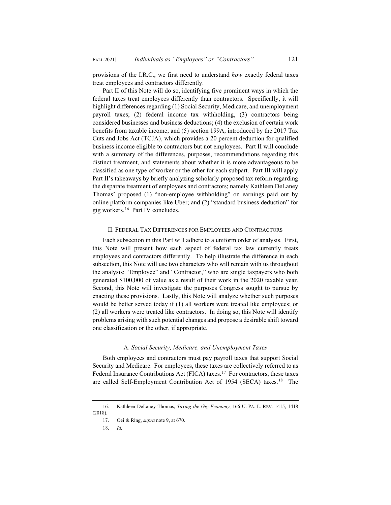provisions of the I.R.C., we first need to understand *how* exactly federal taxes treat employees and contractors differently.

Part II of this Note will do so, identifying five prominent ways in which the federal taxes treat employees differently than contractors. Specifically, it will highlight differences regarding (1) Social Security, Medicare, and unemployment payroll taxes; (2) federal income tax withholding, (3) contractors being considered businesses and business deductions; (4) the exclusion of certain work benefits from taxable income; and (5) section 199A, introduced by the 2017 Tax Cuts and Jobs Act (TCJA), which provides a 20 percent deduction for qualified business income eligible to contractors but not employees. Part II will conclude with a summary of the differences, purposes, recommendations regarding this distinct treatment, and statements about whether it is more advantageous to be classified as one type of worker or the other for each subpart. Part III will apply Part II's takeaways by briefly analyzing scholarly proposed tax reform regarding the disparate treatment of employees and contractors; namely Kathleen DeLaney Thomas' proposed (1) "non-employee withholding" on earnings paid out by online platform companies like Uber; and (2) "standard business deduction" for gig workers.16 Part IV concludes.

#### II. FEDERAL TAX DIFFERENCES FOR EMPLOYEES AND CONTRACTORS

Each subsection in this Part will adhere to a uniform order of analysis. First, this Note will present how each aspect of federal tax law currently treats employees and contractors differently. To help illustrate the difference in each subsection, this Note will use two characters who will remain with us throughout the analysis: "Employee" and "Contractor," who are single taxpayers who both generated \$100,000 of value as a result of their work in the 2020 taxable year. Second, this Note will investigate the purposes Congress sought to pursue by enacting these provisions. Lastly, this Note will analyze whether such purposes would be better served today if (1) all workers were treated like employees; or (2) all workers were treated like contractors. In doing so, this Note will identify problems arising with such potential changes and propose a desirable shift toward one classification or the other, if appropriate.

#### A. *Social Security, Medicare, and Unemployment Taxes*

Both employees and contractors must pay payroll taxes that support Social Security and Medicare. For employees, these taxes are collectively referred to as Federal Insurance Contributions Act (FICA) taxes.<sup>17</sup> For contractors, these taxes are called Self-Employment Contribution Act of 1954 (SECA) taxes.<sup>18</sup> The

<sup>16.</sup> Kathleen DeLaney Thomas, *Taxing the Gig Economy*, 166 U. PA. L. REV. 1415, 1418 (2018).

<sup>17.</sup> Oei & Ring, *supra* note 9, at 670.

<sup>18.</sup> *Id.*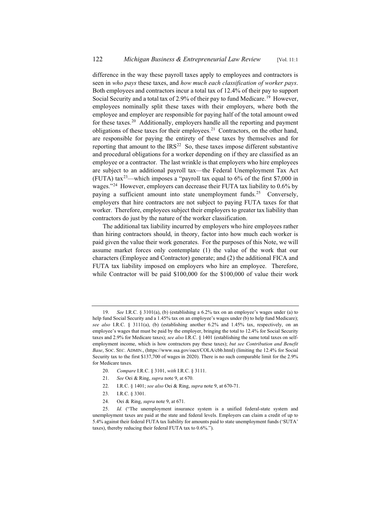difference in the way these payroll taxes apply to employees and contractors is seen in *who pays* these taxes, and *how much each classification of worker pays*. Both employees and contractors incur a total tax of 12.4% of their pay to support Social Security and a total tax of 2.9% of their pay to fund Medicare.<sup>19</sup> However, employees nominally split these taxes with their employers, where both the employee and employer are responsible for paying half of the total amount owed for these taxes.<sup>20</sup> Additionally, employers handle all the reporting and payment obligations of these taxes for their employees.<sup>21</sup> Contractors, on the other hand, are responsible for paying the entirety of these taxes by themselves and for reporting that amount to the  $IRS<sup>22</sup>$  So, these taxes impose different substantive and procedural obligations for a worker depending on if they are classified as an employee or a contractor. The last wrinkle is that employers who hire employees are subject to an additional payroll tax—the Federal Unemployment Tax Act (FUTA) tax<sup>23</sup>—which imposes a "payroll tax equal to  $6\%$  of the first \$7,000 in wages."24 However, employers can decrease their FUTA tax liability to 0.6% by paying a sufficient amount into state unemployment funds.<sup>25</sup> Conversely, employers that hire contractors are not subject to paying FUTA taxes for that worker. Therefore, employees subject their employers to greater tax liability than contractors do just by the nature of the worker classification.

The additional tax liability incurred by employers who hire employees rather than hiring contractors should, in theory, factor into how much each worker is paid given the value their work generates. For the purposes of this Note, we will assume market forces only contemplate (1) the value of the work that our characters (Employee and Contractor) generate; and (2) the additional FICA and FUTA tax liability imposed on employers who hire an employee. Therefore, while Contractor will be paid \$100,000 for the \$100,000 of value their work

- 20. *Compare* I.R.C. § 3101, *with* I.R.C. § 3111.
- 21. *See* Oei & Ring, *supra* note 9, at 670.
- 22. I.R.C. § 1401; *see also* Oei & Ring, *supra* note 9, at 670-71.
- 23. I.R.C. § 3301.
- 24. Oei & Ring, *supra* note 9, at 671.

<sup>19.</sup> *See* I.R.C. § 3101(a), (b) (establishing a 6.2% tax on an employee's wages under (a) to help fund Social Security and a 1.45% tax on an employee's wages under (b) to help fund Medicare); *see also* I.R.C. § 3111(a), (b) (establishing another 6.2% and 1.45% tax, respectively, on an employee's wages that must be paid by the employer, bringing the total to 12.4% for Social Security taxes and 2.9% for Medicare taxes); *see also* I.R.C. § 1401 (establishing the same total taxes on selfemployment income, which is how contractors pay these taxes); *but see Contribution and Benefit*  Base, Soc. SEC. ADMIN., (https://www.ssa.gov/oact/COLA/cbb.html) (limiting the 12.4% for Social Security tax to the first \$137,700 of wages in 2020). There is no such comparable limit for the 2.9% for Medicare taxes.

<sup>25.</sup> *Id.* ("The unemployment insurance system is a unified federal-state system and unemployment taxes are paid at the state and federal levels. Employers can claim a credit of up to 5.4% against their federal FUTA tax liability for amounts paid to state unemployment funds ('SUTA' taxes), thereby reducing their federal FUTA tax to 0.6%.").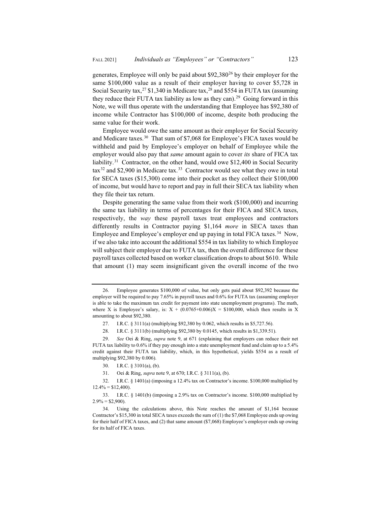generates, Employee will only be paid about  $$92,380^{26}$  by their employer for the same \$100,000 value as a result of their employer having to cover \$5,728 in Social Security tax,  $27$  \$1,340 in Medicare tax,  $28$  and \$554 in FUTA tax (assuming they reduce their FUTA tax liability as low as they can).<sup>29</sup> Going forward in this Note, we will thus operate with the understanding that Employee has \$92,380 of income while Contractor has \$100,000 of income, despite both producing the same value for their work.

Employee would owe the same amount as their employer for Social Security and Medicare taxes.30 That sum of \$7,068 for Employee's FICA taxes would be withheld and paid by Employee's employer on behalf of Employee while the employer would also pay that *same* amount again to cover *its* share of FICA tax liability.<sup>31</sup> Contractor, on the other hand, would owe \$12,400 in Social Security  $\arctan^{32}$  and \$2,900 in Medicare tax.<sup>33</sup> Contractor would see what they owe in total for SECA taxes (\$15,300) come into their pocket as they collect their \$100,000 of income, but would have to report and pay in full their SECA tax liability when they file their tax return.

Despite generating the same value from their work (\$100,000) and incurring the same tax liability in terms of percentages for their FICA and SECA taxes, respectively, the *way* these payroll taxes treat employees and contractors differently results in Contractor paying \$1,164 *more* in SECA taxes than Employee and Employee's employer end up paying in total FICA taxes.<sup>34</sup> Now, if we also take into account the additional \$554 in tax liability to which Employee will subject their employer due to FUTA tax, then the overall difference for these payroll taxes collected based on worker classification drops to about \$610. While that amount (1) may seem insignificant given the overall income of the two

<sup>26.</sup> Employee generates \$100,000 of value, but only gets paid about \$92,392 because the employer will be required to pay 7.65% in payroll taxes and 0.6% for FUTA tax (assuming employer is able to take the maximum tax credit for payment into state unemployment programs). The math, where X is Employee's salary, is:  $X + (0.0765+0.006)X = $100,000$ , which then results in X amounting to about \$92,380.

<sup>27.</sup> I.R.C. § 3111(a) (multiplying \$92,380 by 0.062, which results in \$5,727.56).

<sup>28.</sup> I.R.C. § 3111(b) (multiplying \$92,380 by 0.0145, which results in \$1,339.51).

<sup>29.</sup> *See* Oei & Ring, *supra* note 9, at 671 (explaining that employers can reduce their net FUTA tax liability to 0.6% if they pay enough into a state unemployment fund and claim up to a 5.4% credit against their FUTA tax liability, which, in this hypothetical, yields \$554 as a result of multiplying \$92,380 by 0.006).

<sup>30.</sup> I.R.C. § 3101(a), (b).

<sup>31.</sup> Oei & Ring, *supra* note 9, at 670; I.R.C. § 3111(a), (b).

<sup>32.</sup> I.R.C. § 1401(a) (imposing a 12.4% tax on Contractor's income. \$100,000 multiplied by  $12.4\% = $12,400$ ).

<sup>33.</sup> I.R.C. § 1401(b) (imposing a 2.9% tax on Contractor's income. \$100,000 multiplied by  $2.9\% = $2,900$ .

<sup>34.</sup> Using the calculations above, this Note reaches the amount of \$1,164 because Contractor's \$15,300 in total SECA taxes exceeds the sum of (1) the \$7,068 Employee ends up owing for their half of FICA taxes, and (2) that same amount (\$7,068) Employee's employer ends up owing for its half of FICA taxes.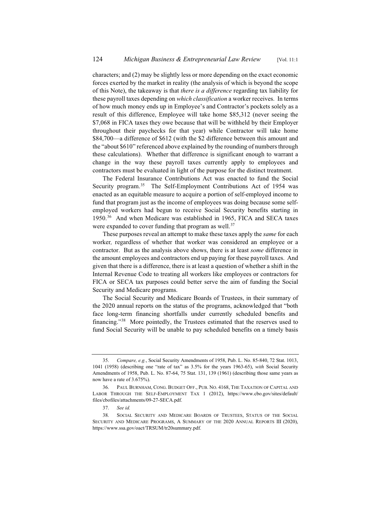characters; and (2) may be slightly less or more depending on the exact economic forces exerted by the market in reality (the analysis of which is beyond the scope of this Note), the takeaway is that *there is a difference* regarding tax liability for these payroll taxes depending on *which classification* a worker receives. In terms of how much money ends up in Employee's and Contractor's pockets solely as a result of this difference, Employee will take home \$85,312 (never seeing the \$7,068 in FICA taxes they owe because that will be withheld by their Employer throughout their paychecks for that year) while Contractor will take home \$84,700—a difference of \$612 (with the \$2 difference between this amount and the "about \$610" referenced above explained by the rounding of numbers through these calculations). Whether that difference is significant enough to warrant a change in the way these payroll taxes currently apply to employees and contractors must be evaluated in light of the purpose for the distinct treatment.

The Federal Insurance Contributions Act was enacted to fund the Social Security program.<sup>35</sup> The Self-Employment Contributions Act of 1954 was enacted as an equitable measure to acquire a portion of self-employed income to fund that program just as the income of employees was doing because some selfemployed workers had begun to receive Social Security benefits starting in 1950.36 And when Medicare was established in 1965, FICA and SECA taxes were expanded to cover funding that program as well.<sup>37</sup>

These purposes reveal an attempt to make these taxes apply the *same* for each worker*,* regardless of whether that worker was considered an employee or a contractor. But as the analysis above shows, there is at least *some* difference in the amount employees and contractors end up paying for these payroll taxes. And given that there is a difference, there is at least a question of whether a shift in the Internal Revenue Code to treating all workers like employees or contractors for FICA or SECA tax purposes could better serve the aim of funding the Social Security and Medicare programs.

The Social Security and Medicare Boards of Trustees, in their summary of the 2020 annual reports on the status of the programs, acknowledged that "both face long-term financing shortfalls under currently scheduled benefits and financing."38 More pointedly, the Trustees estimated that the reserves used to fund Social Security will be unable to pay scheduled benefits on a timely basis

<sup>35.</sup> *Compare, e.g.*, Social Security Amendments of 1958, Pub. L. No. 85-840, 72 Stat. 1013, 1041 (1958) (describing one "rate of tax" as 3.5% for the years 1963-65), *with* Social Security Amendments of 1958, Pub. L. No. 87-64, 75 Stat. 131, 139 (1961) (describing those same years as now have a rate of 3.675%).

<sup>36.</sup> PAUL BURNHAM, CONG. BUDGET OFF., PUB. NO. 4168, THE TAXATION OF CAPITAL AND LABOR THROUGH THE SELF-EMPLOYMENT TAX 1 (2012), https://www.cbo.gov/sites/default/ files/cbofiles/attachments/09-27-SECA.pdf.

<sup>37.</sup> *See id.*

<sup>38.</sup> SOCIAL SECURITY AND MEDICARE BOARDS OF TRUSTEES, STATUS OF THE SOCIAL SECURITY AND MEDICARE PROGRAMS, A SUMMARY OF THE 2020 ANNUAL REPORTS III (2020), https://www.ssa.gov/oact/TRSUM/tr20summary.pdf.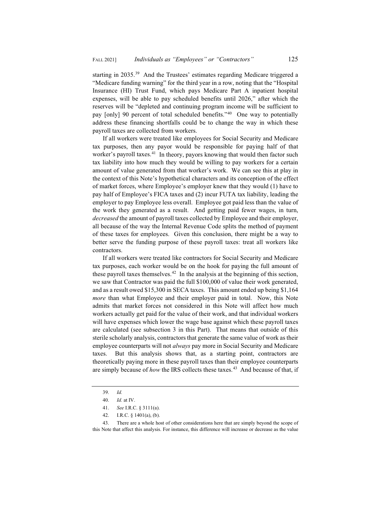starting in 2035.<sup>39</sup> And the Trustees' estimates regarding Medicare triggered a "Medicare funding warning" for the third year in a row, noting that the "Hospital Insurance (HI) Trust Fund, which pays Medicare Part A inpatient hospital expenses, will be able to pay scheduled benefits until 2026," after which the reserves will be "depleted and continuing program income will be sufficient to pay [only] 90 percent of total scheduled benefits."<sup>40</sup> One way to potentially address these financing shortfalls could be to change the way in which these payroll taxes are collected from workers.

If all workers were treated like employees for Social Security and Medicare tax purposes, then any payor would be responsible for paying half of that worker's payroll taxes.<sup>41</sup> In theory, payors knowing that would then factor such tax liability into how much they would be willing to pay workers for a certain amount of value generated from that worker's work. We can see this at play in the context of this Note's hypothetical characters and its conception of the effect of market forces, where Employee's employer knew that they would (1) have to pay half of Employee's FICA taxes and (2) incur FUTA tax liability, leading the employer to pay Employee less overall. Employee got paid less than the value of the work they generated as a result. And getting paid fewer wages, in turn, *decreased* the amount of payroll taxes collected by Employee and their employer, all because of the way the Internal Revenue Code splits the method of payment of these taxes for employees. Given this conclusion, there might be a way to better serve the funding purpose of these payroll taxes: treat all workers like contractors.

If all workers were treated like contractors for Social Security and Medicare tax purposes, each worker would be on the hook for paying the full amount of these payroll taxes themselves.<sup>42</sup> In the analysis at the beginning of this section, we saw that Contractor was paid the full \$100,000 of value their work generated, and as a result owed \$15,300 in SECA taxes. This amount ended up being \$1,164 *more* than what Employee and their employer paid in total. Now, this Note admits that market forces not considered in this Note will affect how much workers actually get paid for the value of their work, and that individual workers will have expenses which lower the wage base against which these payroll taxes are calculated (see subsection 3 in this Part). That means that outside of this sterile scholarly analysis, contractors that generate the same value of work as their employee counterparts will not *always* pay more in Social Security and Medicare taxes. But this analysis shows that, as a starting point, contractors are theoretically paying more in these payroll taxes than their employee counterparts are simply because of *how* the IRS collects these taxes.<sup>43</sup> And because of that, if

<sup>39.</sup> *Id.*

<sup>40.</sup> *Id.* at IV.

<sup>41.</sup> *See* I.R.C. § 3111(a).

<sup>42.</sup> I.R.C. § 1401(a), (b).

<sup>43.</sup> There are a whole host of other considerations here that are simply beyond the scope of this Note that affect this analysis. For instance, this difference will increase or decrease as the value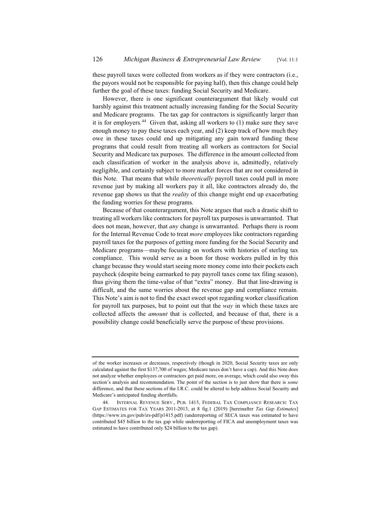these payroll taxes were collected from workers as if they were contractors (i.e., the payors would not be responsible for paying half), then this change could help further the goal of these taxes: funding Social Security and Medicare.

However, there is one significant counterargument that likely would cut harshly against this treatment actually increasing funding for the Social Security and Medicare programs. The tax gap for contractors is significantly larger than it is for employers.<sup>44</sup> Given that, asking all workers to  $(1)$  make sure they save enough money to pay these taxes each year, and (2) keep track of how much they owe in these taxes could end up mitigating any gain toward funding these programs that could result from treating all workers as contractors for Social Security and Medicare tax purposes. The difference in the amount collected from each classification of worker in the analysis above is, admittedly, relatively negligible, and certainly subject to more market forces that are not considered in this Note. That means that while *theoretically* payroll taxes could pull in more revenue just by making all workers pay it all, like contractors already do, the revenue gap shows us that the *reality* of this change might end up exacerbating the funding worries for these programs.

Because of that counterargument, this Note argues that such a drastic shift to treating all workers like contractors for payroll tax purposes is unwarranted. That does not mean, however, that *any* change is unwarranted. Perhaps there is room for the Internal Revenue Code to treat *more* employees like contractors regarding payroll taxes for the purposes of getting more funding for the Social Security and Medicare programs—maybe focusing on workers with histories of sterling tax compliance. This would serve as a boon for those workers pulled in by this change because they would start seeing more money come into their pockets each paycheck (despite being earmarked to pay payroll taxes come tax filing season), thus giving them the time-value of that "extra" money. But that line-drawing is difficult, and the same worries about the revenue gap and compliance remain. This Note's aim is not to find the exact sweet spot regarding worker classification for payroll tax purposes, but to point out that the *way* in which these taxes are collected affects the *amount* that is collected, and because of that, there is a possibility change could beneficially serve the purpose of these provisions.

of the worker increases or decreases, respectively (though in 2020, Social Security taxes are only calculated against the first \$137,700 of wages; Medicare taxes don't have a cap). And this Note does not analyze whether employees or contractors get paid more, on average, which could also sway this section's analysis and recommendation. The point of the section is to just show that there is *some*  difference, and that these sections of the I.R.C. could be altered to help address Social Security and Medicare's anticipated funding shortfalls.

<sup>44.</sup> INTERNAL REVENUE SERV., PUB. 1415, FEDERAL TAX COMPLIANCE RESEARCH: TAX GAP ESTIMATES FOR TAX YEARS 2011-2013, at 8 fig.1 (2019) [hereinafter *Tax Gap Estimates*] (https://www.irs.gov/pub/irs-pdf/p1415.pdf) (underreporting of SECA taxes was estimated to have contributed \$45 billion to the tax gap while underreporting of FICA and unemployment taxes was estimated to have contributed only \$24 billion to the tax gap).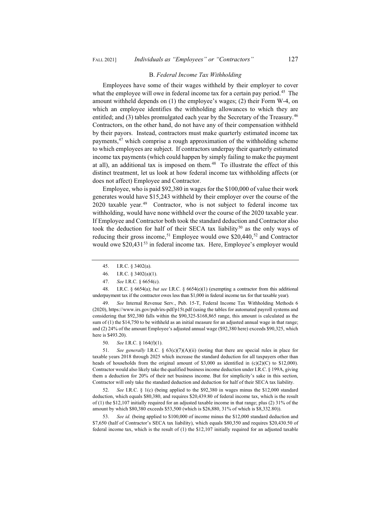### FALL 2021] *Individuals as "Employees" or "Contractors"* 127

#### B. *Federal Income Tax Withholding*

Employees have some of their wages withheld by their employer to cover what the employee will owe in federal income tax for a certain pay period.<sup>45</sup> The amount withheld depends on (1) the employee's wages; (2) their Form W-4, on which an employee identifies the withholding allowances to which they are entitled; and (3) tables promulgated each year by the Secretary of the Treasury.<sup>46</sup> Contractors, on the other hand, do not have any of their compensation withheld by their payors. Instead, contractors must make quarterly estimated income tax payments,47 which comprise a rough approximation of the withholding scheme to which employees are subject. If contractors underpay their quarterly estimated income tax payments (which could happen by simply failing to make the payment at all), an additional tax is imposed on them. $48$  To illustrate the effect of this distinct treatment, let us look at how federal income tax withholding affects (or does not affect) Employee and Contractor.

Employee, who is paid \$92,380 in wages for the \$100,000 of value their work generates would have \$15,243 withheld by their employer over the course of the 2020 taxable year. $49$  Contractor, who is not subject to federal income tax withholding, would have none withheld over the course of the 2020 taxable year. If Employee and Contractor both took the standard deduction and Contractor also took the deduction for half of their SECA tax liability<sup>50</sup> as the only ways of reducing their gross income,<sup>51</sup> Employee would owe \$20,440,<sup>52</sup> and Contractor would owe \$20,431<sup>53</sup> in federal income tax. Here, Employee's employer would

48. I.R.C. § 6654(a); *but see* I.R.C. § 6654(e)(1) (exempting a contractor from this additional underpayment tax if the contractor owes less than \$1,000 in federal income tax for that taxable year).

49. *See* Internal Revenue Serv., Pub. 15-T, Federal Income Tax Withholding Methods 6 (2020), https://www.irs.gov/pub/irs-pdf/p15t.pdf (using the tables for automated payroll systems and considering that \$92,380 falls within the \$90,325-\$168,865 range, this amount is calculated as the sum of (1) the \$14,750 to be withheld as an initial measure for an adjusted annual wage in that range; and (2) 24% of the amount Employee's adjusted annual wage (\$92,380 here) exceeds \$90,325, which here is \$493.20).

50. *See* I.R.C. § 164(f)(1).

51. *See generally* I.R.C. § 63(c)(7)(A)(ii) (noting that there are special rules in place for taxable years 2018 through 2025 which increase the standard deduction for all taxpayers other than heads of households from the original amount of \$3,000 as identified in  $(c)(2)(C)$  to \$12,000). Contractor would also likely take the qualified business income deduction under I.R.C. § 199A, giving them a deduction for 20% of their net business income. But for simplicity's sake in this section, Contractor will only take the standard deduction and deduction for half of their SECA tax liability.

52. *See* I.R.C. § 1(c) (being applied to the \$92,380 in wages minus the \$12,000 standard deduction, which equals \$80,380, and requires \$20,439.80 of federal income tax, which is the result of (1) the \$12,107 initially required for an adjusted taxable income in that range; plus (2) 31% of the amount by which \$80,380 exceeds \$53,500 (which is \$26,880, 31% of which is \$8,332.80)).

See id. (being applied to \$100,000 of income minus the \$12,000 standard deduction and \$7,650 (half of Contractor's SECA tax liability), which equals \$80,350 and requires \$20,430.50 of federal income tax, which is the result of (1) the \$12,107 initially required for an adjusted taxable

<sup>45.</sup> I.R.C. § 3402(a).

<sup>46.</sup> I.R.C. § 3402(a)(1).

<sup>47.</sup> *See* I.R.C. § 6654(c).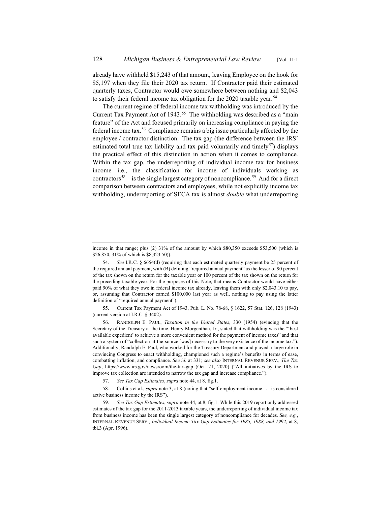already have withheld \$15,243 of that amount, leaving Employee on the hook for \$5,197 when they file their 2020 tax return. If Contractor paid their estimated quarterly taxes, Contractor would owe somewhere between nothing and \$2,043 to satisfy their federal income tax obligation for the 2020 taxable year.<sup>54</sup>

The current regime of federal income tax withholding was introduced by the Current Tax Payment Act of 1943.<sup>55</sup> The withholding was described as a "main feature" of the Act and focused primarily on increasing compliance in paying the federal income tax.56 Compliance remains a big issue particularly affected by the employee / contractor distinction. The tax gap (the difference between the IRS' estimated total true tax liability and tax paid voluntarily and timely<sup>57</sup>) displays the practical effect of this distinction in action when it comes to compliance. Within the tax gap, the underreporting of individual income tax for business income—i.e., the classification for income of individuals working as contractors<sup>58</sup>—is the single largest category of noncompliance.<sup>59</sup> And for a direct comparison between contractors and employees, while not explicitly income tax withholding, underreporting of SECA tax is almost *double* what underreporting

55. Current Tax Payment Act of 1943, Pub. L. No. 78-68, § 1622, 57 Stat. 126, 128 (1943) (current version at I.R.C. § 3402).

56. RANDOLPH E. PAUL, *Taxation in the United States*, 330 (1954) (evincing that the Secretary of the Treasury at the time, Henry Morgenthau, Jr., stated that withholding was the "'best available expedient' to achieve a more convenient method for the payment of income taxes" and that such a system of "collection-at-the-source [was] necessary to the very existence of the income tax."). Additionally, Randolph E. Paul, who worked for the Treasury Department and played a large role in convincing Congress to enact withholding, championed such a regime's benefits in terms of ease, combatting inflation, and compliance. *See id.* at 331; *see also* INTERNAL REVENUE SERV., *The Tax Gap*, https://www.irs.gov/newsroom/the-tax-gap (Oct. 21, 2020) ("All initiatives by the IRS to improve tax collection are intended to narrow the tax gap and increase compliance.").

income in that range; plus (2) 31% of the amount by which \$80,350 exceeds \$53,500 (which is \$26,850, 31% of which is \$8,323.50)).

<sup>54.</sup> *See* I.R.C. § 6654(d) (requiring that each estimated quarterly payment be 25 percent of the required annual payment, with (B) defining "required annual payment" as the lesser of 90 percent of the tax shown on the return for the taxable year or 100 percent of the tax shown on the return for the preceding taxable year. For the purposes of this Note, that means Contractor would have either paid 90% of what they owe in federal income tax already, leaving them with only \$2,043.10 to pay, or, assuming that Contractor earned \$100,000 last year as well, nothing to pay using the latter definition of "required annual payment").

<sup>57.</sup> *See Tax Gap Estimates*, *supra* note 44, at 8, fig.1.

<sup>58.</sup> Collins et al., *supra* note 3, at 8 (noting that "self-employment income . . . is considered active business income by the IRS").

<sup>59.</sup> *See Tax Gap Estimates*, *supra* note 44, at 8, fig.1. While this 2019 report only addressed estimates of the tax gap for the 2011-2013 taxable years, the underreporting of individual income tax from business income has been the single largest category of noncompliance for decades. *See, e.g.*, INTERNAL REVENUE SERV., *Individual Income Tax Gap Estimates for 1985, 1988, and 1992*, at 8, tbl.3 (Apr. 1996).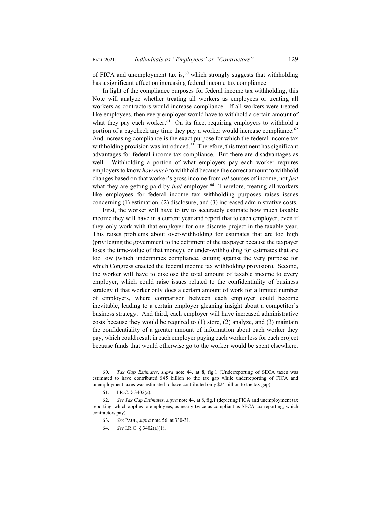of FICA and unemployment tax is,  $60$  which strongly suggests that withholding has a significant effect on increasing federal income tax compliance.

In light of the compliance purposes for federal income tax withholding, this Note will analyze whether treating all workers as employees or treating all workers as contractors would increase compliance. If all workers were treated like employees, then every employer would have to withhold a certain amount of what they pay each worker.<sup>61</sup> On its face, requiring employers to withhold a portion of a paycheck any time they pay a worker would increase compliance.<sup>62</sup> And increasing compliance is the exact purpose for which the federal income tax withholding provision was introduced. $63$  Therefore, this treatment has significant advantages for federal income tax compliance. But there are disadvantages as well. Withholding a portion of what employers pay each worker requires employers to know *how much* to withhold because the correct amount to withhold changes based on that worker's gross income from *all* sources of income, not *just*  what they are getting paid by *that* employer.<sup>64</sup> Therefore, treating all workers like employees for federal income tax withholding purposes raises issues concerning (1) estimation, (2) disclosure, and (3) increased administrative costs.

First, the worker will have to try to accurately estimate how much taxable income they will have in a current year and report that to each employer, even if they only work with that employer for one discrete project in the taxable year. This raises problems about over-withholding for estimates that are too high (privileging the government to the detriment of the taxpayer because the taxpayer loses the time-value of that money), or under-withholding for estimates that are too low (which undermines compliance, cutting against the very purpose for which Congress enacted the federal income tax withholding provision). Second, the worker will have to disclose the total amount of taxable income to every employer, which could raise issues related to the confidentiality of business strategy if that worker only does a certain amount of work for a limited number of employers, where comparison between each employer could become inevitable, leading to a certain employer gleaning insight about a competitor's business strategy. And third, each employer will have increased administrative costs because they would be required to (1) store, (2) analyze, and (3) maintain the confidentiality of a greater amount of information about each worker they pay, which could result in each employer paying each worker less for each project because funds that would otherwise go to the worker would be spent elsewhere.

<sup>60.</sup> *Tax Gap Estimates*, *supra* note 44, at 8, fig.1 (Underreporting of SECA taxes was estimated to have contributed \$45 billion to the tax gap while underreporting of FICA and unemployment taxes was estimated to have contributed only \$24 billion to the tax gap).

<sup>61.</sup> I.R.C. § 3402(a).

<sup>62.</sup> *See Tax Gap Estimates*, *supra* note 44, at 8, fig.1 (depicting FICA and unemployment tax reporting, which applies to employees, as nearly twice as compliant as SECA tax reporting, which contractors pay).

<sup>63</sup>**.** *See* PAUL, *supra* note 56, at 330-31.

<sup>64.</sup> *See* I.R.C. § 3402(a)(1).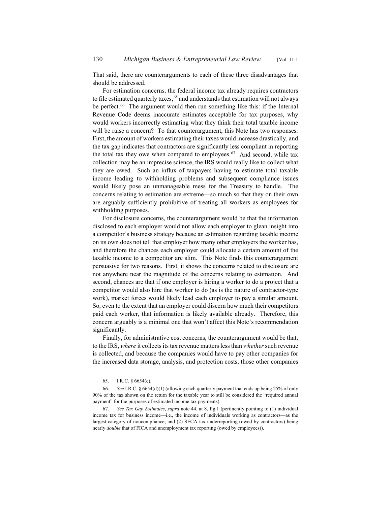That said, there are counterarguments to each of these three disadvantages that should be addressed.

For estimation concerns, the federal income tax already requires contractors to file estimated quarterly taxes,  $65$  and understands that estimation will not always be perfect.<sup>66</sup> The argument would then run something like this: if the Internal Revenue Code deems inaccurate estimates acceptable for tax purposes, why would workers incorrectly estimating what they think their total taxable income will be raise a concern? To that counterargument, this Note has two responses. First, the amount of workers estimating their taxes would increase drastically, and the tax gap indicates that contractors are significantly less compliant in reporting the total tax they owe when compared to employees.<sup>67</sup> And second, while tax collection may be an imprecise science, the IRS would really like to collect what they are owed. Such an influx of taxpayers having to estimate total taxable income leading to withholding problems and subsequent compliance issues would likely pose an unmanageable mess for the Treasury to handle. The concerns relating to estimation are extreme—so much so that they on their own are arguably sufficiently prohibitive of treating all workers as employees for withholding purposes.

For disclosure concerns, the counterargument would be that the information disclosed to each employer would not allow each employer to glean insight into a competitor's business strategy because an estimation regarding taxable income on its own does not tell that employer how many other employers the worker has, and therefore the chances each employer could allocate a certain amount of the taxable income to a competitor are slim. This Note finds this counterargument persuasive for two reasons. First, it shows the concerns related to disclosure are not anywhere near the magnitude of the concerns relating to estimation. And second, chances are that if one employer is hiring a worker to do a project that a competitor would also hire that worker to do (as is the nature of contractor-type work), market forces would likely lead each employer to pay a similar amount. So, even to the extent that an employer could discern how much their competitors paid each worker, that information is likely available already. Therefore, this concern arguably is a minimal one that won't affect this Note's recommendation significantly.

Finally, for administrative cost concerns, the counterargument would be that, to the IRS, *where* it collects its tax revenue matters less than *whether* such revenue is collected, and because the companies would have to pay other companies for the increased data storage, analysis, and protection costs, those other companies

<sup>65.</sup> I.R.C. § 6654(c).

<sup>66.</sup> *See* I.R.C. § 6654(d)(1) (allowing each quarterly payment that ends up being 25% of only 90% of the tax shown on the return for the taxable year to still be considered the "required annual payment" for the purposes of estimated income tax payments).

<sup>67.</sup> *See Tax Gap Estimates*, *supra* note 44, at 8, fig.1 (pertinently pointing to (1) individual income tax for business income—i.e., the income of individuals working as contractors—as the largest category of noncompliance; and (2) SECA tax underreporting (owed by contractors) being nearly *double* that of FICA and unemployment tax reporting (owed by employees)).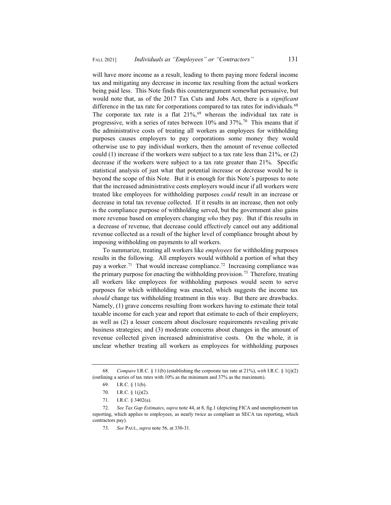will have more income as a result, leading to them paying more federal income tax and mitigating any decrease in income tax resulting from the actual workers being paid less. This Note finds this counterargument somewhat persuasive, but would note that, as of the 2017 Tax Cuts and Jobs Act, there is a *significant*  difference in the tax rate for corporations compared to tax rates for individuals.<sup>68</sup> The corporate tax rate is a flat  $21\%,<sup>69</sup>$  whereas the individual tax rate is progressive, with a series of rates between  $10\%$  and  $37\%$ .<sup>70</sup> This means that if the administrative costs of treating all workers as employees for withholding purposes causes employers to pay corporations some money they would otherwise use to pay individual workers, then the amount of revenue collected could (1) increase if the workers were subject to a tax rate less than 21%, or (2) decrease if the workers were subject to a tax rate greater than 21%. Specific statistical analysis of just what that potential increase or decrease would be is beyond the scope of this Note. But it is enough for this Note's purposes to note that the increased administrative costs employers would incur if all workers were treated like employees for withholding purposes *could* result in an increase or decrease in total tax revenue collected. If it results in an increase, then not only is the compliance purpose of withholding served, but the government also gains more revenue based on employers changing *who* they pay. But if this results in a decrease of revenue, that decrease could effectively cancel out any additional revenue collected as a result of the higher level of compliance brought about by imposing withholding on payments to all workers.

To summarize, treating all workers like *employees* for withholding purposes results in the following. All employers would withhold a portion of what they pay a worker.<sup>71</sup> That would increase compliance.<sup>72</sup> Increasing compliance was the primary purpose for enacting the withholding provision.<sup>73</sup> Therefore, treating all workers like employees for withholding purposes would seem to serve purposes for which withholding was enacted, which suggests the income tax *should* change tax withholding treatment in this way. But there are drawbacks. Namely, (1) grave concerns resulting from workers having to estimate their total taxable income for each year and report that estimate to each of their employers; as well as (2) a lesser concern about disclosure requirements revealing private business strategies; and (3) moderate concerns about changes in the amount of revenue collected given increased administrative costs. On the whole, it is unclear whether treating all workers as employees for withholding purposes

<sup>68.</sup> *Compare* I.R.C. § 11(b) (establishing the corporate tax rate at 21%), *with* I.R.C. § 1(j)(2) (outlining a series of tax rates with 10% as the minimum and 37% as the maximum).

<sup>69.</sup> I.R.C. § 11(b).

<sup>70.</sup> I.R.C. § 1(j)(2).

<sup>71.</sup> I.R.C. § 3402(a).

<sup>72.</sup> *See Tax Gap Estimates*, *supra* note 44, at 8, fig.1 (depicting FICA and unemployment tax reporting, which applies to employees, as nearly twice as compliant as SECA tax reporting, which contractors pay).

<sup>73.</sup> *See* PAUL, *supra* note 56, at 330-31.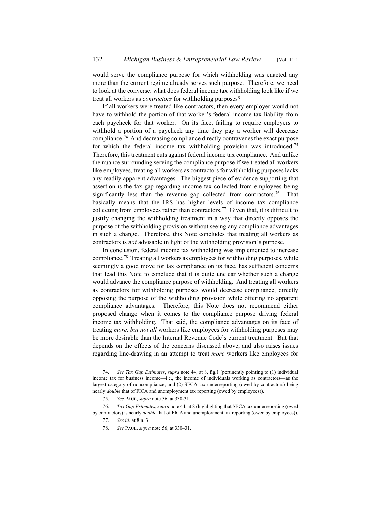would serve the compliance purpose for which withholding was enacted any more than the current regime already serves such purpose. Therefore, we need to look at the converse: what does federal income tax withholding look like if we treat all workers as *contractors* for withholding purposes?

If all workers were treated like contractors, then every employer would not have to withhold the portion of that worker's federal income tax liability from each paycheck for that worker. On its face, failing to require employers to withhold a portion of a paycheck any time they pay a worker will decrease compliance.74 And decreasing compliance directly contravenes the exact purpose for which the federal income tax withholding provision was introduced.<sup>75</sup> Therefore, this treatment cuts against federal income tax compliance. And unlike the nuance surrounding serving the compliance purpose if we treated all workers like employees, treating all workers as contractors for withholding purposes lacks any readily apparent advantages. The biggest piece of evidence supporting that assertion is the tax gap regarding income tax collected from employees being significantly less than the revenue gap collected from contractors.<sup>76</sup> That basically means that the IRS has higher levels of income tax compliance collecting from employees rather than contractors.<sup>77</sup> Given that, it is difficult to justify changing the withholding treatment in a way that directly opposes the purpose of the withholding provision without seeing any compliance advantages in such a change. Therefore, this Note concludes that treating all workers as contractors is *not* advisable in light of the withholding provision's purpose.

In conclusion, federal income tax withholding was implemented to increase compliance.78 Treating all workers as employees for withholding purposes, while seemingly a good move for tax compliance on its face, has sufficient concerns that lead this Note to conclude that it is quite unclear whether such a change would advance the compliance purpose of withholding. And treating all workers as contractors for withholding purposes would decrease compliance, directly opposing the purpose of the withholding provision while offering no apparent compliance advantages. Therefore, this Note does not recommend either proposed change when it comes to the compliance purpose driving federal income tax withholding. That said, the compliance advantages on its face of treating *more, but not all* workers like employees for withholding purposes may be more desirable than the Internal Revenue Code's current treatment. But that depends on the effects of the concerns discussed above, and also raises issues regarding line-drawing in an attempt to treat *more* workers like employees for

78. *See* PAUL, *supra* note 56, at 330–31.

<sup>74.</sup> *See Tax Gap Estimates*, *supra* note 44, at 8, fig.1 (pertinently pointing to (1) individual income tax for business income—i.e., the income of individuals working as contractors—as the largest category of noncompliance; and (2) SECA tax underreporting (owed by contractors) being nearly *double* that of FICA and unemployment tax reporting (owed by employees)).

<sup>75.</sup> *See* PAUL, *supra* note 56, at 330-31.

<sup>76.</sup> *Tax Gap Estimates*, *supra* note 44, at 8 (highlighting that SECA tax underreporting (owed by contractors) is nearly *double* that of FICA and unemployment tax reporting (owed by employees)).

<sup>77.</sup> *See id.* at 8 n. 3.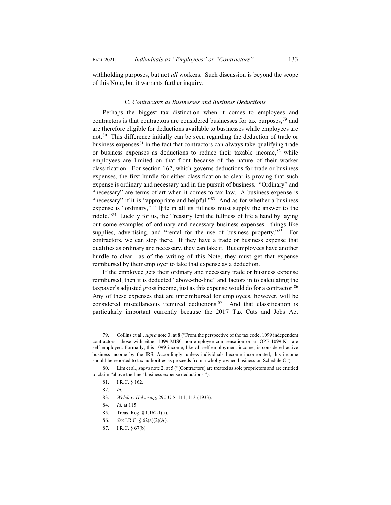withholding purposes, but not *all* workers. Such discussion is beyond the scope of this Note, but it warrants further inquiry.

#### C. *Contractors as Businesses and Business Deductions*

Perhaps the biggest tax distinction when it comes to employees and contractors is that contractors are considered businesses for tax purposes,  $\frac{79}{9}$  and are therefore eligible for deductions available to businesses while employees are not.80 This difference initially can be seen regarding the deduction of trade or business expenses $81$  in the fact that contractors can always take qualifying trade or business expenses as deductions to reduce their taxable income,  $82$  while employees are limited on that front because of the nature of their worker classification. For section 162, which governs deductions for trade or business expenses, the first hurdle for either classification to clear is proving that such expense is ordinary and necessary and in the pursuit of business. "Ordinary" and "necessary" are terms of art when it comes to tax law. A business expense is "necessary" if it is "appropriate and helpful."<sup>83</sup> And as for whether a business expense is "ordinary," "[l]ife in all its fullness must supply the answer to the riddle."84 Luckily for us, the Treasury lent the fullness of life a hand by laying out some examples of ordinary and necessary business expenses—things like supplies, advertising, and "rental for the use of business property."<sup>85</sup> For contractors, we can stop there. If they have a trade or business expense that qualifies as ordinary and necessary, they can take it. But employees have another hurdle to clear—as of the writing of this Note, they must get that expense reimbursed by their employer to take that expense as a deduction.

If the employee gets their ordinary and necessary trade or business expense reimbursed, then it is deducted "above-the-line" and factors in to calculating the taxpayer's adjusted gross income, just as this expense would do for a contractor.<sup>86</sup> Any of these expenses that are unreimbursed for employees, however, will be considered miscellaneous itemized deductions.87 And that classification is particularly important currently because the 2017 Tax Cuts and Jobs Act

- 86. *See* I.R.C. § 62(a)(2)(A).
- 87. I.R.C. § 67(b).

<sup>79.</sup> Collins et al., *supra* note 3, at 8 ("From the perspective of the tax code, 1099 independent contractors—those with either 1099-MISC non-employee compensation or an OPE 1099-K—are self-employed. Formally, this 1099 income, like all self-employment income, is considered active business income by the IRS. Accordingly, unless individuals become incorporated, this income should be reported to tax authorities as proceeds from a wholly-owned business on Schedule C").

<sup>80.</sup> Lim et al., *supra* note 2, at 5 ("[Contractors] are treated as sole proprietors and are entitled to claim "above the line" business expense deductions.").

<sup>81.</sup> I.R.C. § 162.

<sup>82.</sup> *Id.*

<sup>83.</sup> *Welch v. Helvering*, 290 U.S. 111, 113 (1933).

<sup>84.</sup> *Id.* at 115.

<sup>85.</sup> Treas. Reg. § 1.162-1(a).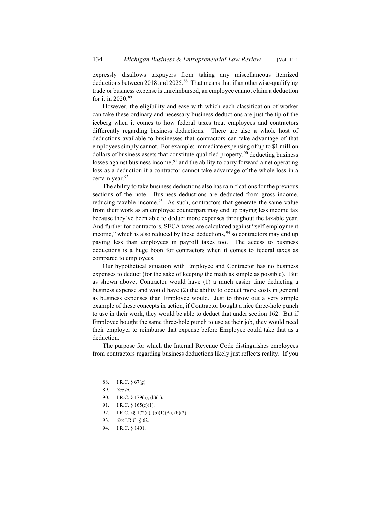expressly disallows taxpayers from taking any miscellaneous itemized deductions between 2018 and 2025.<sup>88</sup> That means that if an otherwise-qualifying trade or business expense is unreimbursed, an employee cannot claim a deduction for it in 2020.89

However, the eligibility and ease with which each classification of worker can take these ordinary and necessary business deductions are just the tip of the iceberg when it comes to how federal taxes treat employees and contractors differently regarding business deductions. There are also a whole host of deductions available to businesses that contractors can take advantage of that employees simply cannot. For example: immediate expensing of up to \$1 million dollars of business assets that constitute qualified property,  $90$  deducting business losses against business income,  $91$  and the ability to carry forward a net operating loss as a deduction if a contractor cannot take advantage of the whole loss in a certain year.<sup>92</sup>

The ability to take business deductions also has ramifications for the previous sections of the note. Business deductions are deducted from gross income, reducing taxable income. $93$  As such, contractors that generate the same value from their work as an employee counterpart may end up paying less income tax because they've been able to deduct more expenses throughout the taxable year. And further for contractors, SECA taxes are calculated against "self-employment income," which is also reduced by these deductions,  $94$  so contractors may end up paying less than employees in payroll taxes too. The access to business deductions is a huge boon for contractors when it comes to federal taxes as compared to employees.

Our hypothetical situation with Employee and Contractor has no business expenses to deduct (for the sake of keeping the math as simple as possible). But as shown above, Contractor would have (1) a much easier time deducting a business expense and would have (2) the ability to deduct more costs in general as business expenses than Employee would. Just to throw out a very simple example of these concepts in action, if Contractor bought a nice three-hole punch to use in their work, they would be able to deduct that under section 162. But if Employee bought the same three-hole punch to use at their job, they would need their employer to reimburse that expense before Employee could take that as a deduction.

The purpose for which the Internal Revenue Code distinguishes employees from contractors regarding business deductions likely just reflects reality. If you

<sup>88.</sup> I.R.C. § 67(g).

<sup>89.</sup> *See id.*

<sup>90.</sup> I.R.C. § 179(a), (b)(1).

<sup>91.</sup> I.R.C. § 165(c)(1).

<sup>92.</sup> I.R.C. §§ 172(a), (b)(1)(A), (b)(2).

<sup>93.</sup> *See* I.R.C. § 62.

<sup>94.</sup> I.R.C. § 1401.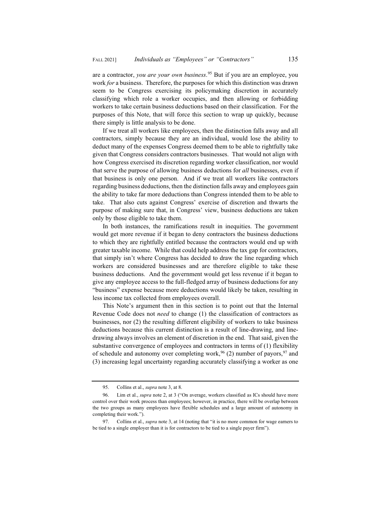are a contractor, *you are your own business*. <sup>95</sup> But if you are an employee, you work *for* a business. Therefore, the purposes for which this distinction was drawn seem to be Congress exercising its policymaking discretion in accurately classifying which role a worker occupies, and then allowing or forbidding workers to take certain business deductions based on their classification. For the purposes of this Note, that will force this section to wrap up quickly, because there simply is little analysis to be done.

If we treat all workers like employees, then the distinction falls away and all contractors, simply because they are an individual, would lose the ability to deduct many of the expenses Congress deemed them to be able to rightfully take given that Congress considers contractors businesses. That would not align with how Congress exercised its discretion regarding worker classification, nor would that serve the purpose of allowing business deductions for *all* businesses, even if that business is only one person. And if we treat all workers like contractors regarding business deductions, then the distinction falls away and employees gain the ability to take far more deductions than Congress intended them to be able to take. That also cuts against Congress' exercise of discretion and thwarts the purpose of making sure that, in Congress' view, business deductions are taken only by those eligible to take them.

In both instances, the ramifications result in inequities. The government would get more revenue if it began to deny contractors the business deductions to which they are rightfully entitled because the contractors would end up with greater taxable income. While that could help address the tax gap for contractors, that simply isn't where Congress has decided to draw the line regarding which workers are considered businesses and are therefore eligible to take these business deductions. And the government would get less revenue if it began to give any employee access to the full-fledged array of business deductions for any "business" expense because more deductions would likely be taken, resulting in less income tax collected from employees overall.

This Note's argument then in this section is to point out that the Internal Revenue Code does not *need* to change (1) the classification of contractors as businesses, nor (2) the resulting different eligibility of workers to take business deductions because this current distinction is a result of line-drawing, and linedrawing always involves an element of discretion in the end. That said, given the substantive convergence of employees and contractors in terms of (1) flexibility of schedule and autonomy over completing work,  $96$  (2) number of payors,  $97$  and (3) increasing legal uncertainty regarding accurately classifying a worker as one

<sup>95.</sup> Collins et al., *supra* note 3, at 8.

<sup>96.</sup> Lim et al., *supra* note 2, at 3 ("On average, workers classified as ICs should have more control over their work process than employees; however, in practice, there will be overlap between the two groups as many employees have flexible schedules and a large amount of autonomy in completing their work.").

<sup>97.</sup> Collins et al., *supra* note 3, at 14 (noting that "it is no more common for wage earners to be tied to a single employer than it is for contractors to be tied to a single payer firm").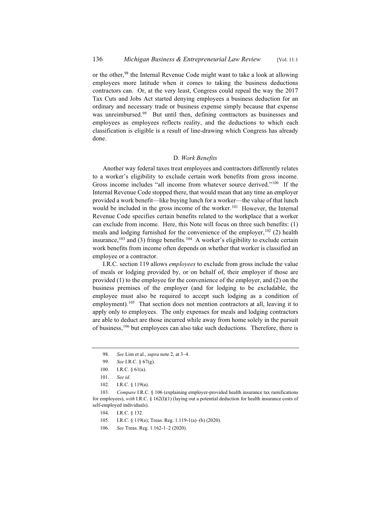or the other,<sup>98</sup> the Internal Revenue Code might want to take a look at allowing employees more latitude when it comes to taking the business deductions contractors can. Or, at the very least, Congress could repeal the way the 2017 Tax Cuts and Jobs Act started denying employees a business deduction for an ordinary and necessary trade or business expense simply because that expense was unreimbursed.<sup>99</sup> But until then, defining contractors as businesses and employees as employees reflects reality, and the deductions to which each classification is eligible is a result of line-drawing which Congress has already done.

#### D. *Work Benefits*

Another way federal taxes treat employees and contractors differently relates to a worker's eligibility to exclude certain work benefits from gross income. Gross income includes "all income from whatever source derived."100 If the Internal Revenue Code stopped there, that would mean that any time an employer provided a work benefit—like buying lunch for a worker—the value of that lunch would be included in the gross income of the worker.<sup>101</sup> However, the Internal Revenue Code specifies certain benefits related to the workplace that a worker can exclude from income. Here, this Note will focus on three such benefits: (1) meals and lodging furnished for the convenience of the employer,  $102$  (2) health insurance,<sup>103</sup> and (3) fringe benefits.<sup>104</sup> A worker's eligibility to exclude certain work benefits from income often depends on whether that worker is classified an employee or a contractor.

I.R.C. section 119 allows *employees* to exclude from gross include the value of meals or lodging provided by, or on behalf of, their employer if those are provided (1) to the employee for the convenience of the employer, and (2) on the business premises of the employer (and for lodging to be excludable, the employee must also be required to accept such lodging as a condition of employment).<sup>105</sup> That section does not mention contractors at all, leaving it to apply only to employees. The only expenses for meals and lodging contractors are able to deduct are those incurred while away from home solely in the pursuit of business,<sup>106</sup> but employees can also take such deductions. Therefore, there is

<sup>98.</sup> *See* Lim et al., *supra* note 2, at 3–4.

<sup>99.</sup> *See* I.R.C. § 67(g).

<sup>100.</sup> I.R.C. § 61(a).

<sup>101.</sup> *See id.*

<sup>102.</sup> I.R.C. § 119(a).

<sup>103.</sup> *Compare* I.R.C. § 106 (explaining employer-provided health insurance tax ramifications for employees), *with* I.R.C. § 162(l)(1) (laying out a potential deduction for health insurance costs of self-employed individuals).

<sup>104.</sup> I.R.C. § 132.

<sup>105.</sup> I.R.C. § 119(a); Treas. Reg. 1.119-1(a)–(b) (2020).

<sup>106.</sup> *See* Treas. Reg. 1.162-1–2 (2020).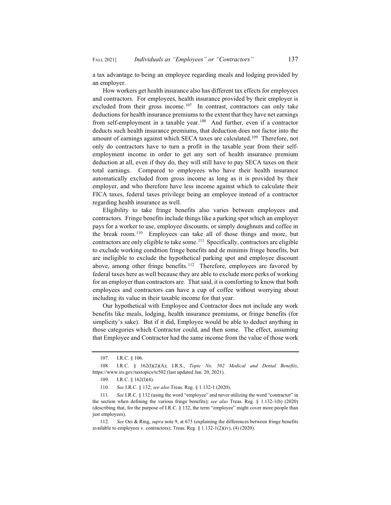a tax advantage to being an employee regarding meals and lodging provided by an employer.

How workers get health insurance also has different tax effects for employees and contractors. For employees, health insurance provided by their employer is excluded from their gross income.<sup>107</sup> In contrast, contractors can only take deductions for health insurance premiums to the extent that they have net earnings from self-employment in a taxable year.<sup>108</sup> And further, even if a contractor deducts such health insurance premiums, that deduction does not factor into the amount of earnings against which SECA taxes are calculated.109 Therefore, not only do contractors have to turn a profit in the taxable year from their selfemployment income in order to get any sort of health insurance premium deduction at all, even if they do, they will still have to pay SECA taxes on their total earnings. Compared to employees who have their health insurance automatically excluded from gross income as long as it is provided by their employer, and who therefore have less income against which to calculate their FICA taxes, federal taxes privilege being an employee instead of a contractor regarding health insurance as well.

Eligibility to take fringe benefits also varies between employees and contractors. Fringe benefits include things like a parking spot which an employer pays for a worker to use, employee discounts, or simply doughnuts and coffee in the break room.110 Employees can take all of those things and more, but contractors are only eligible to take some.<sup>111</sup> Specifically, contractors are eligible to exclude working condition fringe benefits and de minimis fringe benefits, but are ineligible to exclude the hypothetical parking spot and employee discount above, among other fringe benefits.<sup>112</sup> Therefore, employees are favored by federal taxes here as well because they are able to exclude more perks of working for an employer than contractors are. That said, it is comforting to know that both employees and contractors can have a cup of coffee without worrying about including its value in their taxable income for that year.

Our hypothetical with Employee and Contractor does not include any work benefits like meals, lodging, health insurance premiums, or fringe benefits (for simplicity's sake). But if it did, Employee would be able to deduct anything in those categories which Contractor could, and then some. The effect, assuming that Employee and Contractor had the same income from the value of those work

<sup>107.</sup> I.R.C. § 106.

<sup>108.</sup> I.R.C. § 162(l)(2)(A); I.R.S., *Topic No. 502 Medical and Dental Benefits*, https://www.irs.gov/taxtopics/tc502 (last updated Jan. 20, 2021).

<sup>109.</sup> I.R.C. § 162(1)(4).

<sup>110.</sup> *See* I.R.C. § 132; *see also* Treas. Reg. § 1.132-1 (2020).

<sup>111.</sup> *See* I.R.C. § 132 (using the word "employee" and never utilizing the word "contractor" in the section when defining the various fringe benefits); *see also* Treas. Reg. § 1.132-1(b) (2020) (describing that, for the purpose of I.R.C. § 132, the term "employee" might cover more people than just employees).

<sup>112.</sup> *See* Oei & Ring, *supra* note 9, at 673 (explaining the differences between fringe benefits available to employees v. contractors); Treas. Reg. § 1.132-1(2)(iv), (4) (2020).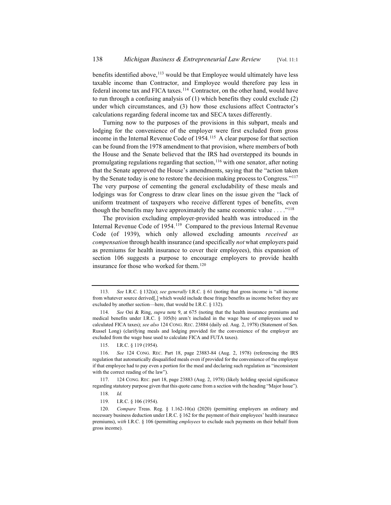benefits identified above,<sup>113</sup> would be that Employee would ultimately have less taxable income than Contractor, and Employee would therefore pay less in federal income tax and FICA taxes.<sup>114</sup> Contractor, on the other hand, would have to run through a confusing analysis of (1) which benefits they could exclude (2) under which circumstances, and (3) how those exclusions affect Contractor's calculations regarding federal income tax and SECA taxes differently.

Turning now to the purposes of the provisions in this subpart, meals and lodging for the convenience of the employer were first excluded from gross income in the Internal Revenue Code of 1954.115 A clear purpose for that section can be found from the 1978 amendment to that provision, where members of both the House and the Senate believed that the IRS had overstepped its bounds in promulgating regulations regarding that section,  $116$  with one senator, after noting that the Senate approved the House's amendments, saying that the "action taken by the Senate today is one to restore the decision making process to Congress."117 The very purpose of cementing the general excludability of these meals and lodgings was for Congress to draw clear lines on the issue given the "lack of uniform treatment of taxpayers who receive different types of benefits, even though the benefits may have approximately the same economic value  $\dots$ ."<sup>118</sup>

The provision excluding employer-provided health was introduced in the Internal Revenue Code of 1954.<sup>119</sup> Compared to the previous Internal Revenue Code (of 1939), which only allowed excluding amounts *received as compensation* through health insurance (and specifically *not* what employers paid as premiums for health insurance to cover their employees), this expansion of section 106 suggests a purpose to encourage employers to provide health insurance for those who worked for them.<sup>120</sup>

115. I.R.C. § 119 (1954).

<sup>113.</sup> *See* I.R.C. § 132(a); *see generally* I.R.C. § 61 (noting that gross income is "all income from whatever source derived[,] which would include these fringe benefits as income before they are excluded by another section—here, that would be I.R.C. § 132).

<sup>114.</sup> *See* Oei & Ring, *supra* note 9, at 675 (noting that the health insurance premiums and medical benefits under I.R.C. § 105(b) aren't included in the wage base of employees used to calculated FICA taxes); *see also* 124 CONG. REC. 23884 (daily ed. Aug. 2, 1978) (Statement of Sen. Russel Long) (clarifying meals and lodging provided for the convenience of the employer are excluded from the wage base used to calculate FICA and FUTA taxes).

<sup>116.</sup> *See* 124 CONG. REC. Part 18, page 23883-84 (Aug. 2, 1978) (referencing the IRS regulation that automatically disqualified meals even if provided for the convenience of the employee if that employee had to pay even a portion for the meal and declaring such regulation as "inconsistent with the correct reading of the law").

<sup>117. 124</sup> CONG. REC. part 18, page 23883 (Aug. 2, 1978) (likely holding special significance regarding statutory purpose given that this quote came from a section with the heading "Major Issue").

<sup>118.</sup> *Id.*

<sup>119.</sup> I.R.C. § 106 (1954).

<sup>120.</sup> *Compare* Treas. Reg. § 1.162-10(a) (2020) (permitting employers an ordinary and necessary business deduction under I.R.C. § 162 for the payment of their employees' health insurance premiums), *with* I.R.C. § 106 (permitting *employees* to exclude such payments on their behalf from gross income).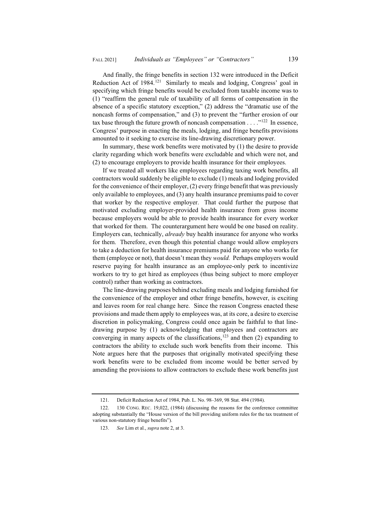And finally, the fringe benefits in section 132 were introduced in the Deficit Reduction Act of 1984.<sup>121</sup> Similarly to meals and lodging, Congress' goal in specifying which fringe benefits would be excluded from taxable income was to (1) "reaffirm the general rule of taxability of all forms of compensation in the absence of a specific statutory exception," (2) address the "dramatic use of the noncash forms of compensation," and (3) to prevent the "further erosion of our tax base through the future growth of noncash compensation  $\dots$  ."<sup>122</sup> In essence, Congress' purpose in enacting the meals, lodging, and fringe benefits provisions amounted to it seeking to exercise its line-drawing discretionary power.

In summary, these work benefits were motivated by (1) the desire to provide clarity regarding which work benefits were excludable and which were not, and (2) to encourage employers to provide health insurance for their employees.

If we treated all workers like employees regarding taxing work benefits, all contractors would suddenly be eligible to exclude (1) meals and lodging provided for the convenience of their employer, (2) every fringe benefit that was previously only available to employees, and (3) any health insurance premiums paid to cover that worker by the respective employer. That could further the purpose that motivated excluding employer-provided health insurance from gross income because employers would be able to provide health insurance for every worker that worked for them. The counterargument here would be one based on reality. Employers can, technically, *already* buy health insurance for anyone who works for them. Therefore, even though this potential change would allow employers to take a deduction for health insurance premiums paid for anyone who works for them (employee or not), that doesn't mean they *would.* Perhaps employers would reserve paying for health insurance as an employee-only perk to incentivize workers to try to get hired as employees (thus being subject to more employer control) rather than working as contractors.

The line-drawing purposes behind excluding meals and lodging furnished for the convenience of the employer and other fringe benefits, however, is exciting and leaves room for real change here. Since the reason Congress enacted these provisions and made them apply to employees was, at its core, a desire to exercise discretion in policymaking, Congress could once again be faithful to that linedrawing purpose by (1) acknowledging that employees and contractors are converging in many aspects of the classifications,<sup>123</sup> and then  $(2)$  expanding to contractors the ability to exclude such work benefits from their income. This Note argues here that the purposes that originally motivated specifying these work benefits were to be excluded from income would be better served by amending the provisions to allow contractors to exclude these work benefits just

<sup>121.</sup> Deficit Reduction Act of 1984, Pub. L. No. 98–369, 98 Stat. 494 (1984).

<sup>122. 130</sup> CONG. REC. 19,022, (1984) (discussing the reasons for the conference committee adopting substantially the "House version of the bill providing uniform rules for the tax treatment of various non-statutory fringe benefits").

<sup>123.</sup> *See* Lim et al., *supra* note 2, at 3.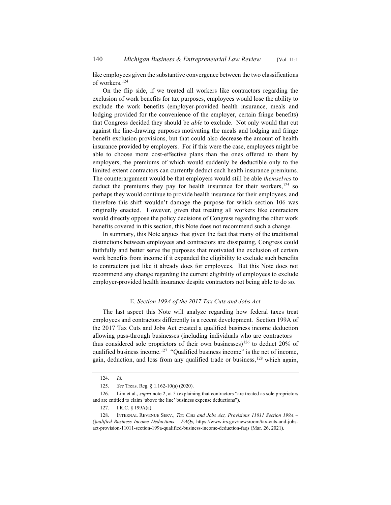like employees given the substantive convergence between the two classifications of workers.124

On the flip side, if we treated all workers like contractors regarding the exclusion of work benefits for tax purposes, employees would lose the ability to exclude the work benefits (employer-provided health insurance, meals and lodging provided for the convenience of the employer, certain fringe benefits) that Congress decided they should be *able* to exclude. Not only would that cut against the line-drawing purposes motivating the meals and lodging and fringe benefit exclusion provisions, but that could also decrease the amount of health insurance provided by employers. For if this were the case, employees might be able to choose more cost-effective plans than the ones offered to them by employers, the premiums of which would suddenly be deductible only to the limited extent contractors can currently deduct such health insurance premiums. The counterargument would be that employers would still be able *themselves* to deduct the premiums they pay for health insurance for their workers, $125$  so perhaps they would continue to provide health insurance for their employees, and therefore this shift wouldn't damage the purpose for which section 106 was originally enacted. However, given that treating all workers like contractors would directly oppose the policy decisions of Congress regarding the other work benefits covered in this section, this Note does not recommend such a change.

In summary, this Note argues that given the fact that many of the traditional distinctions between employees and contractors are dissipating, Congress could faithfully and better serve the purposes that motivated the exclusion of certain work benefits from income if it expanded the eligibility to exclude such benefits to contractors just like it already does for employees. But this Note does not recommend any change regarding the current eligibility of employees to exclude employer-provided health insurance despite contractors not being able to do so.

#### E. *Section 199A of the 2017 Tax Cuts and Jobs Act*

The last aspect this Note will analyze regarding how federal taxes treat employees and contractors differently is a recent development. Section 199A of the 2017 Tax Cuts and Jobs Act created a qualified business income deduction allowing pass-through businesses (including individuals who are contractors thus considered sole proprietors of their own businesses)<sup>126</sup> to deduct 20% of qualified business income.<sup>127</sup> "Qualified business income" is the net of income, gain, deduction, and loss from any qualified trade or business,  $^{128}$  which again,

<sup>124.</sup> *Id.*

<sup>125.</sup> *See* Treas. Reg. § 1.162-10(a) (2020).

<sup>126.</sup> Lim et al., *supra* note 2, at 5 (explaining that contractors "are treated as sole proprietors and are entitled to claim 'above the line' business expense deductions").

<sup>127.</sup> I.R.C. § 199A(a).

<sup>128.</sup> INTERNAL REVENUE SERV., *Tax Cuts and Jobs Act, Provisions 11011 Section 199A – Qualified Business Income Deductions – FAQs*, https://www.irs.gov/newsroom/tax-cuts-and-jobsact-provision-11011-section-199a-qualified-business-income-deduction-faqs (Mar. 26, 2021).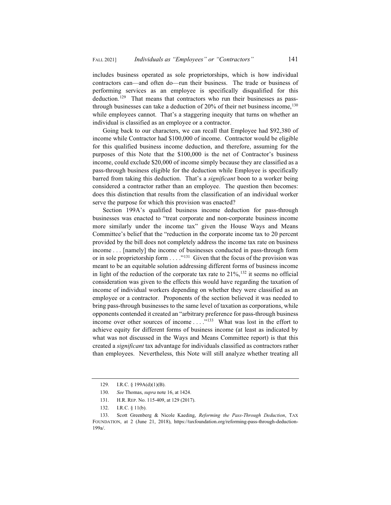includes business operated as sole proprietorships, which is how individual contractors can—and often do—run their business. The trade or business of performing services as an employee is specifically disqualified for this deduction.<sup>129</sup> That means that contractors who run their businesses as passthrough businesses can take a deduction of  $20\%$  of their net business income,  $^{130}$ while employees cannot. That's a staggering inequity that turns on whether an individual is classified as an employee or a contractor.

Going back to our characters, we can recall that Employee had \$92,380 of income while Contractor had \$100,000 of income. Contractor would be eligible for this qualified business income deduction, and therefore, assuming for the purposes of this Note that the \$100,000 is the net of Contractor's business income, could exclude \$20,000 of income simply because they are classified as a pass-through business eligible for the deduction while Employee is specifically barred from taking this deduction. That's a *significant* boon to a worker being considered a contractor rather than an employee. The question then becomes: does this distinction that results from the classification of an individual worker serve the purpose for which this provision was enacted?

Section 199A's qualified business income deduction for pass-through businesses was enacted to "treat corporate and non-corporate business income more similarly under the income tax" given the House Ways and Means Committee's belief that the "reduction in the corporate income tax to 20 percent provided by the bill does not completely address the income tax rate on business income . . . [namely] the income of businesses conducted in pass-through form or in sole proprietorship form  $\dots$ ."<sup>131</sup> Given that the focus of the provision was meant to be an equitable solution addressing different forms of business income in light of the reduction of the corporate tax rate to  $21\%,^{132}$  it seems no official consideration was given to the effects this would have regarding the taxation of income of individual workers depending on whether they were classified as an employee or a contractor. Proponents of the section believed it was needed to bring pass-through businesses to the same level of taxation as corporations, while opponents contended it created an "arbitrary preference for pass-through business income over other sources of income ...."<sup>133</sup> What was lost in the effort to achieve equity for different forms of business income (at least as indicated by what was not discussed in the Ways and Means Committee report) is that this created a *significant* tax advantage for individuals classified as contractors rather than employees. Nevertheless, this Note will still analyze whether treating all

<sup>129.</sup> I.R.C. § 199A(d)(1)(B).

<sup>130.</sup> *See* Thomas, *supra* note 16, at 1424.

<sup>131.</sup> H.R. REP. No. 115-409, at 129 (2017).

<sup>132.</sup> I.R.C. § 11(b).

<sup>133.</sup> Scott Greenberg & Nicole Kaeding, *Reforming the Pass-Through Deduction*, TAX FOUNDATION, at 2 (June 21, 2018), https://taxfoundation.org/reforming-pass-through-deduction-199a/.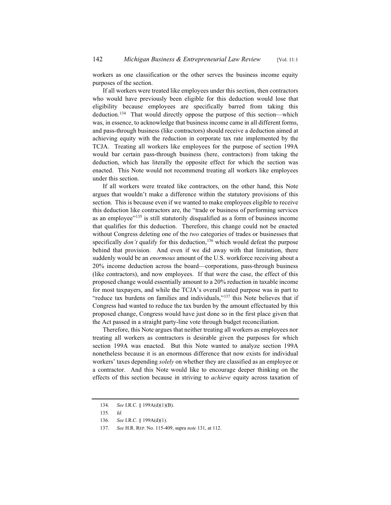workers as one classification or the other serves the business income equity purposes of the section.

If all workers were treated like employees under this section, then contractors who would have previously been eligible for this deduction would lose that eligibility because employees are specifically barred from taking this deduction.<sup>134</sup> That would directly oppose the purpose of this section—which was, in essence, to acknowledge that business income came in all different forms, and pass-through business (like contractors) should receive a deduction aimed at achieving equity with the reduction in corporate tax rate implemented by the TCJA. Treating all workers like employees for the purpose of section 199A would bar certain pass-through business (here, contractors) from taking the deduction, which has literally the opposite effect for which the section was enacted. This Note would not recommend treating all workers like employees under this section.

If all workers were treated like contractors, on the other hand, this Note argues that wouldn't make a difference within the statutory provisions of this section. This is because even if we wanted to make employees eligible to receive this deduction like contractors are, the "trade or business of performing services as an employee"<sup>135</sup> is still statutorily disqualified as a form of business income that qualifies for this deduction. Therefore, this change could not be enacted without Congress deleting one of the *two* categories of trades or businesses that specifically *don't* qualify for this deduction,<sup>136</sup> which would defeat the purpose behind that provision. And even if we did away with that limitation, there suddenly would be an *enormous* amount of the U.S. workforce receiving about a 20% income deduction across the board—corporations, pass-through business (like contractors), and now employees. If that were the case, the effect of this proposed change would essentially amount to a 20% reduction in taxable income for most taxpayers, and while the TCJA's overall stated purpose was in part to "reduce tax burdens on families and individuals,"<sup>137</sup> this Note believes that if Congress had wanted to reduce the tax burden by the amount effectuated by this proposed change, Congress would have just done so in the first place given that the Act passed in a straight party-line vote through budget reconciliation.

Therefore, this Note argues that neither treating all workers as employees nor treating all workers as contractors is desirable given the purposes for which section 199A was enacted. But this Note wanted to analyze section 199A nonetheless because it is an enormous difference that now exists for individual workers' taxes depending *solely* on whether they are classified as an employee or a contractor. And this Note would like to encourage deeper thinking on the effects of this section because in striving to *achieve* equity across taxation of

<sup>134.</sup> *See* I.R.C. § 199A(d)(1)(B).

<sup>135.</sup> *Id.*

<sup>136.</sup> *See* I.R.C. § 199A(d)(1).

<sup>137.</sup> *See* H.R. REP. No. 115-409, supra *note* 131, at 112.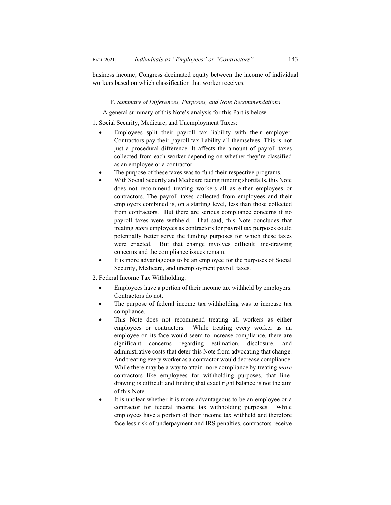business income, Congress decimated equity between the income of individual workers based on which classification that worker receives.

#### F. *Summary of Differences, Purposes, and Note Recommendations*

A general summary of this Note's analysis for this Part is below.

1. Social Security, Medicare, and Unemployment Taxes:

- Employees split their payroll tax liability with their employer. Contractors pay their payroll tax liability all themselves. This is not just a procedural difference. It affects the amount of payroll taxes collected from each worker depending on whether they're classified as an employee or a contractor.
- The purpose of these taxes was to fund their respective programs.
- With Social Security and Medicare facing funding shortfalls, this Note does not recommend treating workers all as either employees or contractors. The payroll taxes collected from employees and their employers combined is, on a starting level, less than those collected from contractors. But there are serious compliance concerns if no payroll taxes were withheld. That said, this Note concludes that treating *more* employees as contractors for payroll tax purposes could potentially better serve the funding purposes for which these taxes were enacted. But that change involves difficult line-drawing concerns and the compliance issues remain.
- It is more advantageous to be an employee for the purposes of Social Security, Medicare, and unemployment payroll taxes.
- 2. Federal Income Tax Withholding:
	- Employees have a portion of their income tax withheld by employers. Contractors do not.
	- The purpose of federal income tax withholding was to increase tax compliance.
	- This Note does not recommend treating all workers as either employees or contractors. While treating every worker as an employee on its face would seem to increase compliance, there are significant concerns regarding estimation, disclosure, and administrative costs that deter this Note from advocating that change. And treating every worker as a contractor would decrease compliance. While there may be a way to attain more compliance by treating *more*  contractors like employees for withholding purposes, that linedrawing is difficult and finding that exact right balance is not the aim of this Note.
	- It is unclear whether it is more advantageous to be an employee or a contractor for federal income tax withholding purposes. While employees have a portion of their income tax withheld and therefore face less risk of underpayment and IRS penalties, contractors receive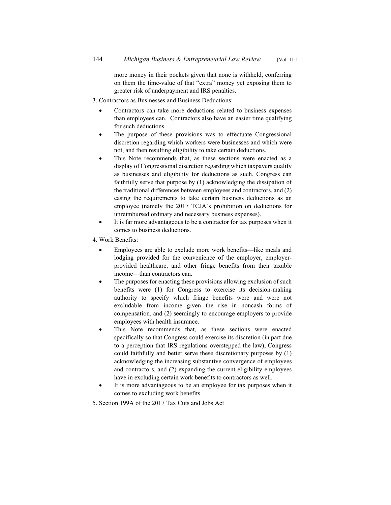more money in their pockets given that none is withheld, conferring on them the time-value of that "extra" money yet exposing them to greater risk of underpayment and IRS penalties.

#### 3. Contractors as Businesses and Business Deductions:

- Contractors can take more deductions related to business expenses than employees can. Contractors also have an easier time qualifying for such deductions.
- The purpose of these provisions was to effectuate Congressional discretion regarding which workers were businesses and which were not, and then resulting eligibility to take certain deductions.
- This Note recommends that, as these sections were enacted as a display of Congressional discretion regarding which taxpayers qualify as businesses and eligibility for deductions as such, Congress can faithfully serve that purpose by (1) acknowledging the dissipation of the traditional differences between employees and contractors, and (2) easing the requirements to take certain business deductions as an employee (namely the 2017 TCJA's prohibition on deductions for unreimbursed ordinary and necessary business expenses).
- It is far more advantageous to be a contractor for tax purposes when it comes to business deductions.
- 4. Work Benefits:
	- Employees are able to exclude more work benefits—like meals and lodging provided for the convenience of the employer, employerprovided healthcare, and other fringe benefits from their taxable income—than contractors can.
	- The purposes for enacting these provisions allowing exclusion of such benefits were (1) for Congress to exercise its decision-making authority to specify which fringe benefits were and were not excludable from income given the rise in noncash forms of compensation, and (2) seemingly to encourage employers to provide employees with health insurance.
	- This Note recommends that, as these sections were enacted specifically so that Congress could exercise its discretion (in part due to a perception that IRS regulations overstepped the law), Congress could faithfully and better serve these discretionary purposes by (1) acknowledging the increasing substantive convergence of employees and contractors, and (2) expanding the current eligibility employees have in excluding certain work benefits to contractors as well.
	- It is more advantageous to be an employee for tax purposes when it comes to excluding work benefits.
- 5. Section 199A of the 2017 Tax Cuts and Jobs Act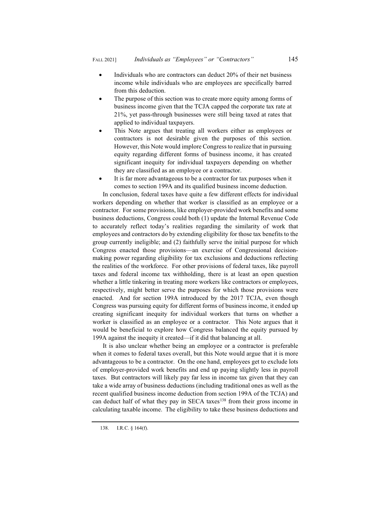- $\bullet$  Individuals who are contractors can deduct 20% of their net business income while individuals who are employees are specifically barred from this deduction.
- The purpose of this section was to create more equity among forms of business income given that the TCJA capped the corporate tax rate at 21%, yet pass-through businesses were still being taxed at rates that applied to individual taxpayers.
- This Note argues that treating all workers either as employees or contractors is not desirable given the purposes of this section. However, this Note would implore Congress to realize that in pursuing equity regarding different forms of business income, it has created significant inequity for individual taxpayers depending on whether they are classified as an employee or a contractor.
- It is far more advantageous to be a contractor for tax purposes when it comes to section 199A and its qualified business income deduction.

In conclusion, federal taxes have quite a few different effects for individual workers depending on whether that worker is classified as an employee or a contractor. For some provisions, like employer-provided work benefits and some business deductions, Congress could both (1) update the Internal Revenue Code to accurately reflect today's realities regarding the similarity of work that employees and contractors do by extending eligibility for those tax benefits to the group currently ineligible; and (2) faithfully serve the initial purpose for which Congress enacted those provisions—an exercise of Congressional decisionmaking power regarding eligibility for tax exclusions and deductions reflecting the realities of the workforce. For other provisions of federal taxes, like payroll taxes and federal income tax withholding, there is at least an open question whether a little tinkering in treating more workers like contractors or employees, respectively, might better serve the purposes for which those provisions were enacted. And for section 199A introduced by the 2017 TCJA, even though Congress was pursuing equity for different forms of business income, it ended up creating significant inequity for individual workers that turns on whether a worker is classified as an employee or a contractor. This Note argues that it would be beneficial to explore how Congress balanced the equity pursued by 199A against the inequity it created—if it did that balancing at all.

It is also unclear whether being an employee or a contractor is preferable when it comes to federal taxes overall, but this Note would argue that it is more advantageous to be a contractor. On the one hand, employees get to exclude lots of employer-provided work benefits and end up paying slightly less in payroll taxes. But contractors will likely pay far less in income tax given that they can take a wide array of business deductions (including traditional ones as well as the recent qualified business income deduction from section 199A of the TCJA) and can deduct half of what they pay in SECA taxes<sup>138</sup> from their gross income in calculating taxable income. The eligibility to take these business deductions and

<sup>138.</sup> I.R.C. § 164(f).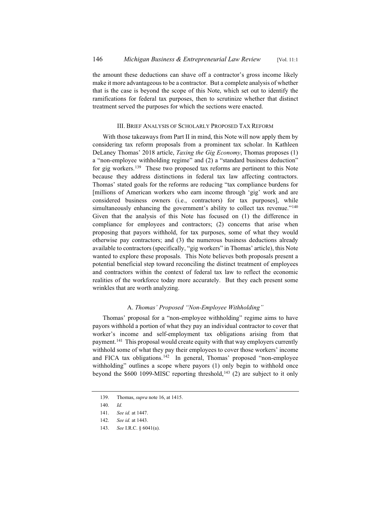the amount these deductions can shave off a contractor's gross income likely make it more advantageous to be a contractor. But a complete analysis of whether that is the case is beyond the scope of this Note, which set out to identify the ramifications for federal tax purposes, then to scrutinize whether that distinct treatment served the purposes for which the sections were enacted.

#### III. BRIEF ANALYSIS OF SCHOLARLY PROPOSED TAX REFORM

With those takeaways from Part II in mind, this Note will now apply them by considering tax reform proposals from a prominent tax scholar. In Kathleen DeLaney Thomas' 2018 article, *Taxing the Gig Economy*, Thomas proposes (1) a "non-employee withholding regime" and (2) a "standard business deduction" for gig workers.<sup>139</sup> These two proposed tax reforms are pertinent to this Note because they address distinctions in federal tax law affecting contractors. Thomas' stated goals for the reforms are reducing "tax compliance burdens for [millions of American workers who earn income through 'gig' work and are considered business owners (i.e., contractors) for tax purposes], while simultaneously enhancing the government's ability to collect tax revenue."<sup>140</sup> Given that the analysis of this Note has focused on (1) the difference in compliance for employees and contractors; (2) concerns that arise when proposing that payors withhold, for tax purposes, some of what they would otherwise pay contractors; and (3) the numerous business deductions already available to contractors (specifically, "gig workers" in Thomas' article), this Note wanted to explore these proposals. This Note believes both proposals present a potential beneficial step toward reconciling the distinct treatment of employees and contractors within the context of federal tax law to reflect the economic realities of the workforce today more accurately. But they each present some wrinkles that are worth analyzing.

#### A. *Thomas' Proposed "Non-Employee Withholding"*

Thomas' proposal for a "non-employee withholding" regime aims to have payors withhold a portion of what they pay an individual contractor to cover that worker's income and self-employment tax obligations arising from that payment.<sup>141</sup> This proposal would create equity with that way employers currently withhold some of what they pay their employees to cover those workers' income and FICA tax obligations.<sup>142</sup> In general, Thomas' proposed "non-employee withholding" outlines a scope where payors (1) only begin to withhold once beyond the  $$600 1099-MISC$  reporting threshold,<sup>143</sup> (2) are subject to it only

<sup>139.</sup> Thomas, *supra* note 16, at 1415.

<sup>140.</sup> *Id.*

<sup>141.</sup> *See id.* at 1447.

<sup>142.</sup> *See id.* at 1443.

<sup>143.</sup> *See* I.R.C. § 6041(a).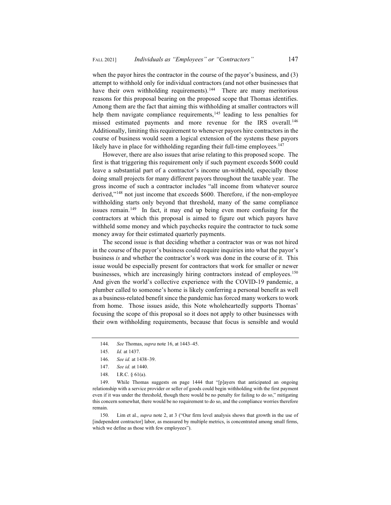when the payor hires the contractor in the course of the payor's business, and (3) attempt to withhold only for individual contractors (and not other businesses that have their own withholding requirements).<sup>144</sup> There are many meritorious reasons for this proposal bearing on the proposed scope that Thomas identifies. Among them are the fact that aiming this withholding at smaller contractors will help them navigate compliance requirements,<sup>145</sup> leading to less penalties for missed estimated payments and more revenue for the IRS overall.<sup>146</sup> Additionally, limiting this requirement to whenever payors hire contractors in the course of business would seem a logical extension of the systems these payors likely have in place for withholding regarding their full-time employees.<sup>147</sup>

However, there are also issues that arise relating to this proposed scope. The first is that triggering this requirement only if such payment exceeds \$600 could leave a substantial part of a contractor's income un-withheld, especially those doing small projects for many different payors throughout the taxable year. The gross income of such a contractor includes "all income from whatever source derived,"<sup>148</sup> not just income that exceeds \$600. Therefore, if the non-employee withholding starts only beyond that threshold, many of the same compliance issues remain.<sup>149</sup> In fact, it may end up being even more confusing for the contractors at which this proposal is aimed to figure out which payors have withheld some money and which paychecks require the contractor to tuck some money away for their estimated quarterly payments.

The second issue is that deciding whether a contractor was or was not hired in the course of the payor's business could require inquiries into what the payor's business *is* and whether the contractor's work was done in the course of it. This issue would be especially present for contractors that work for smaller or newer businesses, which are increasingly hiring contractors instead of employees.<sup>150</sup> And given the world's collective experience with the COVID-19 pandemic, a plumber called to someone's home is likely conferring a personal benefit as well as a business-related benefit since the pandemic has forced many workers to work from home. Those issues aside, this Note wholeheartedly supports Thomas' focusing the scope of this proposal so it does not apply to other businesses with their own withholding requirements, because that focus is sensible and would

149. While Thomas suggests on page 1444 that "[p]ayers that anticipated an ongoing relationship with a service provider or seller of goods could begin withholding with the first payment even if it was under the threshold, though there would be no penalty for failing to do so," mitigating this concern somewhat, there would be no requirement to do so, and the compliance worries therefore remain.

150. Lim et al., *supra* note 2, at 3 ("Our firm level analysis shows that growth in the use of [independent contractor] labor, as measured by multiple metrics, is concentrated among small firms, which we define as those with few employees").

<sup>144.</sup> *See* Thomas, *supra* note 16, at 1443–45.

<sup>145.</sup> *Id.* at 1437.

<sup>146.</sup> *See id.* at 1438–39.

<sup>147.</sup> *See id.* at 1440.

<sup>148.</sup> I.R.C. § 61(a).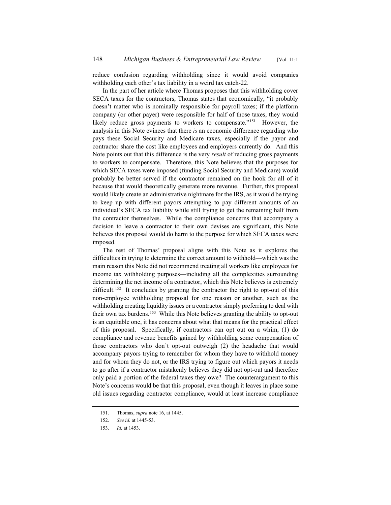reduce confusion regarding withholding since it would avoid companies withholding each other's tax liability in a weird tax catch-22.

In the part of her article where Thomas proposes that this withholding cover SECA taxes for the contractors, Thomas states that economically, "it probably doesn't matter who is nominally responsible for payroll taxes; if the platform company (or other payer) were responsible for half of those taxes, they would likely reduce gross payments to workers to compensate."<sup>151</sup> However, the analysis in this Note evinces that there *is* an economic difference regarding who pays these Social Security and Medicare taxes, especially if the payor and contractor share the cost like employees and employers currently do. And this Note points out that this difference is the very *result* of reducing gross payments to workers to compensate. Therefore, this Note believes that the purposes for which SECA taxes were imposed (funding Social Security and Medicare) would probably be better served if the contractor remained on the hook for all of it because that would theoretically generate more revenue. Further, this proposal would likely create an administrative nightmare for the IRS, as it would be trying to keep up with different payors attempting to pay different amounts of an individual's SECA tax liability while still trying to get the remaining half from the contractor themselves. While the compliance concerns that accompany a decision to leave a contractor to their own devises are significant, this Note believes this proposal would do harm to the purpose for which SECA taxes were imposed.

The rest of Thomas' proposal aligns with this Note as it explores the difficulties in trying to determine the correct amount to withhold—which was the main reason this Note did not recommend treating all workers like employees for income tax withholding purposes—including all the complexities surrounding determining the net income of a contractor, which this Note believes is extremely difficult.<sup>152</sup> It concludes by granting the contractor the right to opt-out of this non-employee withholding proposal for one reason or another, such as the withholding creating liquidity issues or a contractor simply preferring to deal with their own tax burdens.153 While this Note believes granting the ability to opt-out is an equitable one, it has concerns about what that means for the practical effect of this proposal. Specifically, if contractors can opt out on a whim, (1) do compliance and revenue benefits gained by withholding some compensation of those contractors who don't opt-out outweigh (2) the headache that would accompany payors trying to remember for whom they have to withhold money and for whom they do not, or the IRS trying to figure out which payors it needs to go after if a contractor mistakenly believes they did not opt-out and therefore only paid a portion of the federal taxes they owe? The counterargument to this Note's concerns would be that this proposal, even though it leaves in place some old issues regarding contractor compliance, would at least increase compliance

<sup>151.</sup> Thomas, *supra* note 16, at 1445.

<sup>152.</sup> *See id.* at 1445-53.

<sup>153.</sup> *Id.* at 1453.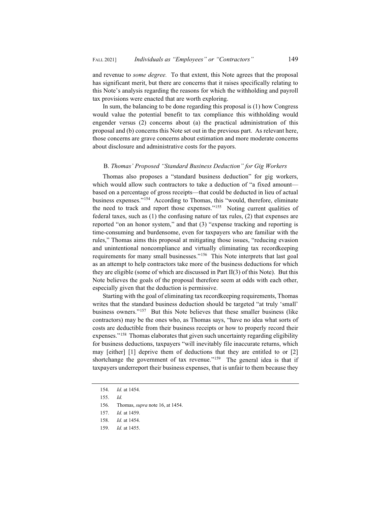and revenue to *some degree.* To that extent, this Note agrees that the proposal has significant merit, but there are concerns that it raises specifically relating to this Note's analysis regarding the reasons for which the withholding and payroll tax provisions were enacted that are worth exploring.

In sum, the balancing to be done regarding this proposal is (1) how Congress would value the potential benefit to tax compliance this withholding would engender versus (2) concerns about (a) the practical administration of this proposal and (b) concerns this Note set out in the previous part. As relevant here, those concerns are grave concerns about estimation and more moderate concerns about disclosure and administrative costs for the payors.

#### B. *Thomas' Proposed "Standard Business Deduction" for Gig Workers*

Thomas also proposes a "standard business deduction" for gig workers, which would allow such contractors to take a deduction of "a fixed amount based on a percentage of gross receipts—that could be deducted in lieu of actual business expenses."154 According to Thomas, this "would, therefore, eliminate the need to track and report those expenses."155 Noting current qualities of federal taxes, such as (1) the confusing nature of tax rules, (2) that expenses are reported "on an honor system," and that (3) "expense tracking and reporting is time-consuming and burdensome, even for taxpayers who are familiar with the rules," Thomas aims this proposal at mitigating those issues, "reducing evasion and unintentional noncompliance and virtually eliminating tax recordkeeping requirements for many small businesses."156 This Note interprets that last goal as an attempt to help contractors take more of the business deductions for which they are eligible (some of which are discussed in Part II(3) of this Note). But this Note believes the goals of the proposal therefore seem at odds with each other, especially given that the deduction is permissive.

Starting with the goal of eliminating tax recordkeeping requirements, Thomas writes that the standard business deduction should be targeted "at truly 'small' business owners."157 But this Note believes that these smaller business (like contractors) may be the ones who, as Thomas says, "have no idea what sorts of costs are deductible from their business receipts or how to properly record their expenses."<sup>158</sup> Thomas elaborates that given such uncertainty regarding eligibility for business deductions, taxpayers "will inevitably file inaccurate returns, which may [either] [1] deprive them of deductions that they are entitled to or [2] shortchange the government of tax revenue."<sup>159</sup> The general idea is that if taxpayers underreport their business expenses, that is unfair to them because they

<sup>154.</sup> *Id.* at 1454.

<sup>155.</sup> *Id.*

<sup>156.</sup> Thomas, *supra* note 16, at 1454.

<sup>157.</sup> *Id.* at 1459.

<sup>158.</sup> *Id.* at 1454.

<sup>159.</sup> *Id.* at 1455.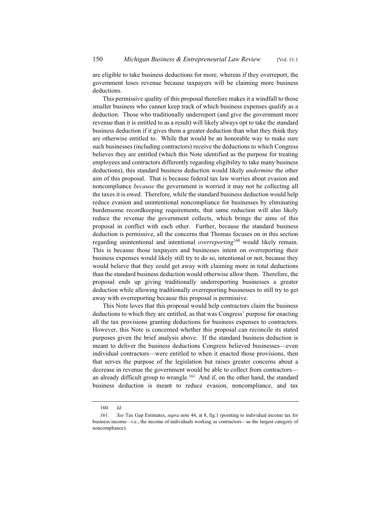are eligible to take business deductions for more, whereas if they overreport, the government loses revenue because taxpayers will be claiming more business deductions.

This permissive quality of this proposal therefore makes it a windfall to those smaller business who cannot keep track of which business expenses qualify as a deduction. Those who traditionally underreport (and give the government more revenue than it is entitled to as a result) will likely always opt to take the standard business deduction if it gives them a greater deduction than what they think they are otherwise entitled to. While that would be an honorable way to make sure such businesses (including contractors) receive the deductions to which Congress believes they are entitled (which this Note identified as the purpose for treating employees and contractors differently regarding eligibility to take many business deductions), this standard business deduction would likely *undermine* the other aim of this proposal. That is because federal tax law worries about evasion and noncompliance *because* the government is worried it may not be collecting all the taxes it is owed. Therefore, while the standard business deduction would help reduce evasion and unintentional noncompliance for businesses by eliminating burdensome recordkeeping requirements, that same reduction will also likely reduce the revenue the government collects, which brings the aims of this proposal in conflict with each other. Further, because the standard business deduction is permissive, all the concerns that Thomas focuses on in this section regarding unintentional and intentional *overreporting*<sup>160</sup> would likely remain. This is because those taxpayers and businesses intent on overreporting their business expenses would likely still try to do so, intentional or not, because they would believe that they could get away with claiming more in total deductions than the standard business deduction would otherwise allow them. Therefore, the proposal ends up giving traditionally underreporting businesses a greater deduction while allowing traditionally overreporting businesses to still try to get away with overreporting because this proposal is permissive.

This Note loves that this proposal would help contractors claim the business deductions to which they are entitled, as that was Congress' purpose for enacting all the tax provisions granting deductions for business expenses to contractors. However, this Note is concerned whether this proposal can reconcile its stated purposes given the brief analysis above. If the standard business deduction is meant to deliver the business deductions Congress believed businesses—even individual contractors—were entitled to when it enacted those provisions, then that serves the purpose of the legislation but raises greater concerns about a decrease in revenue the government would be able to collect from contractors an already difficult group to wrangle.<sup>161</sup> And if, on the other hand, the standard business deduction is meant to reduce evasion, noncompliance, and tax

<sup>160.</sup> *Id.*

<sup>161.</sup> *See* Tax Gap Estimates, *supra* note 44, at 8, fig.1 (pointing to individual income tax for business income—i.e., the income of individuals working as contractors—as the largest category of noncompliance).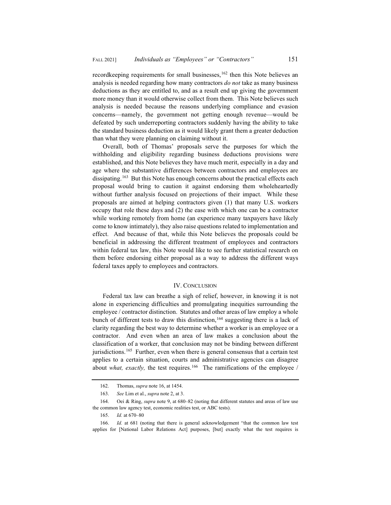recordkeeping requirements for small businesses,  $162$  then this Note believes an analysis is needed regarding how many contractors *do not* take as many business deductions as they are entitled to, and as a result end up giving the government more money than it would otherwise collect from them. This Note believes such analysis is needed because the reasons underlying compliance and evasion concerns—namely, the government not getting enough revenue—would be defeated by such underreporting contractors suddenly having the ability to take the standard business deduction as it would likely grant them a greater deduction than what they were planning on claiming without it.

Overall, both of Thomas' proposals serve the purposes for which the withholding and eligibility regarding business deductions provisions were established, and this Note believes they have much merit, especially in a day and age where the substantive differences between contractors and employees are dissipating.<sup>163</sup> But this Note has enough concerns about the practical effects each proposal would bring to caution it against endorsing them wholeheartedly without further analysis focused on projections of their impact. While these proposals are aimed at helping contractors given (1) that many U.S. workers occupy that role these days and (2) the ease with which one can be a contractor while working remotely from home (an experience many taxpayers have likely come to know intimately), they also raise questions related to implementation and effect. And because of that, while this Note believes the proposals could be beneficial in addressing the different treatment of employees and contractors within federal tax law, this Note would like to see further statistical research on them before endorsing either proposal as a way to address the different ways federal taxes apply to employees and contractors.

#### IV. CONCLUSION

Federal tax law can breathe a sigh of relief, however, in knowing it is not alone in experiencing difficulties and promulgating inequities surrounding the employee / contractor distinction. Statutes and other areas of law employ a whole bunch of different tests to draw this distinction,  $164$  suggesting there is a lack of clarity regarding the best way to determine whether a worker is an employee or a contractor. And even when an area of law makes a conclusion about the classification of a worker, that conclusion may not be binding between different jurisdictions.<sup>165</sup> Further, even when there is general consensus that a certain test applies to a certain situation, courts and administrative agencies can disagree about *what, exactly*, the test requires.<sup>166</sup> The ramifications of the employee /

<sup>162.</sup> Thomas, *supra* note 16, at 1454.

<sup>163.</sup> *See* Lim et al., *supra* note 2, at 3.

<sup>164.</sup> Oei & Ring, *supra* note 9, at 680–82 (noting that different statutes and areas of law use the common law agency test, economic realities test, or ABC tests).

<sup>165.</sup> *Id.* at 670–80

<sup>166.</sup> *Id.* at 681 (noting that there is general acknowledgement "that the common law test applies for [National Labor Relations Act] purposes, [but] exactly what the test requires is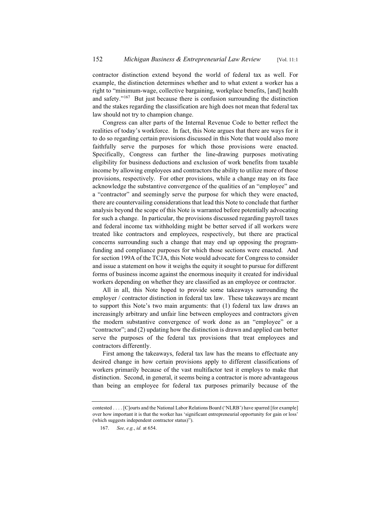contractor distinction extend beyond the world of federal tax as well. For example, the distinction determines whether and to what extent a worker has a right to "minimum-wage, collective bargaining, workplace benefits, [and] health and safety."167 But just because there is confusion surrounding the distinction and the stakes regarding the classification are high does not mean that federal tax law should not try to champion change.

Congress can alter parts of the Internal Revenue Code to better reflect the realities of today's workforce. In fact, this Note argues that there are ways for it to do so regarding certain provisions discussed in this Note that would also more faithfully serve the purposes for which those provisions were enacted. Specifically, Congress can further the line-drawing purposes motivating eligibility for business deductions and exclusion of work benefits from taxable income by allowing employees and contractors the ability to utilize more of those provisions, respectively. For other provisions, while a change may on its face acknowledge the substantive convergence of the qualities of an "employee" and a "contractor" and seemingly serve the purpose for which they were enacted, there are countervailing considerations that lead this Note to conclude that further analysis beyond the scope of this Note is warranted before potentially advocating for such a change. In particular, the provisions discussed regarding payroll taxes and federal income tax withholding might be better served if all workers were treated like contractors and employees, respectively, but there are practical concerns surrounding such a change that may end up opposing the programfunding and compliance purposes for which those sections were enacted. And for section 199A of the TCJA, this Note would advocate for Congress to consider and issue a statement on how it weighs the equity it sought to pursue for different forms of business income against the enormous inequity it created for individual workers depending on whether they are classified as an employee or contractor.

All in all, this Note hoped to provide some takeaways surrounding the employer / contractor distinction in federal tax law. These takeaways are meant to support this Note's two main arguments: that (1) federal tax law draws an increasingly arbitrary and unfair line between employees and contractors given the modern substantive convergence of work done as an "employee" or a "contractor"; and (2) updating how the distinction is drawn and applied can better serve the purposes of the federal tax provisions that treat employees and contractors differently.

First among the takeaways, federal tax law has the means to effectuate any desired change in how certain provisions apply to different classifications of workers primarily because of the vast multifactor test it employs to make that distinction. Second, in general, it seems being a contractor is more advantageous than being an employee for federal tax purposes primarily because of the

contested . . . . [C]ourts and the National Labor Relations Board ('NLRB') have sparred [for example] over how important it is that the worker has 'significant entrepreneurial opportunity for gain or loss' (which suggests independent contractor status)").

<sup>167.</sup> *See, e.g.*, *id.* at 654.